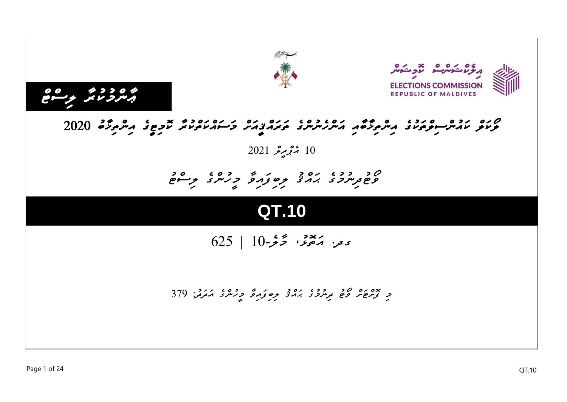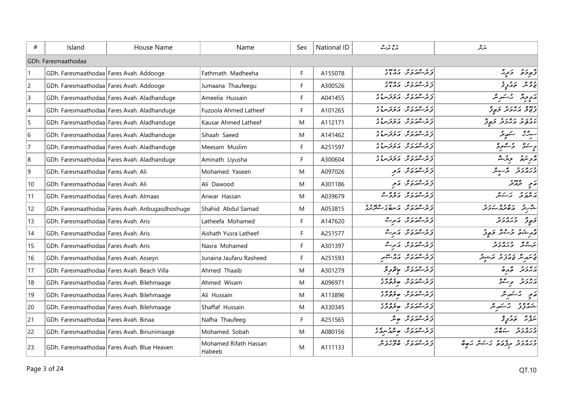| #              | Island                                  | House Name                                          | <b>Name</b>                     | Sex | National ID | ، ه ، بر <u>م</u>                                  | يترمثر                                          |
|----------------|-----------------------------------------|-----------------------------------------------------|---------------------------------|-----|-------------|----------------------------------------------------|-------------------------------------------------|
|                | GDh. Faresmaathodaa                     |                                                     |                                 |     |             |                                                    |                                                 |
|                | GDh. Faresmaathodaa Fares Avah. Addooge |                                                     | Fathmath Madheeha               | F   | A155078     | ג 2 סגנם. גם בצב<br>ציול המיטיר המשי               | وَجِودَة دَمِيدٌ                                |
| $\overline{2}$ | GDh. Faresmaathodaa Fares Avah. Addooge |                                                     | Jumaana Thaufeegu               | F   | A300526     | ג 2 פגג פ ג 270 בי                                 | د محمد مرکز د                                   |
| 3              |                                         | GDh. Faresmaathodaa Fares Avah. Aladhanduge         | Ameelia Hussain                 | F   | A041455     | ر ، ق د ره . د د د .<br>ژ ټر شهرونز . ه څه ترس د ، | أرَوِ وقد أَنْ يَا سَمْدِ سَرْ                  |
| $\overline{4}$ |                                         | GDh. Faresmaathodaa Fares Avah. Aladhanduge         | Fuzoola Ahmed Latheef           | F   | A101265     | ر ، ۱٫۰٫۵ رور د ،                                  | ودوم برەر دې دې                                 |
| 5              |                                         | GDh. Faresmaathodaa Fares Avah. Aladhanduge         | Kausar Ahmed Latheef            | M   | A112171     | ر ، ۲۶۷۵. کردند و ،<br>ژنگرستهری که مرکزمون        | رورو رەرو كەچ                                   |
| 6              |                                         | GDh. Faresmaathodaa Fares Avah. Aladhanduge         | Sihaah Saeed                    | M   | A141462     | ر ، ۱٫۰٫۰ رور د ،<br>ژنگرسهروش پرخ <sup>و</sup> رس | سورج مستعدية                                    |
| 7              |                                         | GDh. Faresmaathodaa Fares Avah. Aladhanduge         | Meesam Muslim                   | F   | A251597     | ر ، ۱٫۰٫۰ رور د ،<br>ژنگرسهروش پرخ <sup>و</sup> رس | ج سەۋە ئەھلىر ئە                                |
| 8              |                                         | GDh. Faresmaathodaa Fares Avah. Aladhanduge         | Aminath Liyusha                 | F   | A300604     | ر ، ق د ره د بر د .<br>ژ نگرستهروش امر قرمزنده ی   | دگر سرگاه در است                                |
| 9              | GDh. Faresmaathodaa Fares Avah. Ali     |                                                     | Mohamed Yaseen                  | M   | A097026     | ىر ، ھەر بەر كەير                                  | ورەرو پۇسىر                                     |
| 10             | GDh. Faresmaathodaa Fares Avah. Ali     |                                                     | Ali Dawood                      | M   | A301186     | ز په ۱۳۶۵ کرو                                      | أەسمجد مەدەر ب                                  |
| 11             | GDh. Faresmaathodaa Fares Avah. Almaas  |                                                     | Anwar Hassan                    | M   | A039679     | ر ، ەررە بەھ مە                                    | رەر ئەسكىر                                      |
| 12             |                                         | GDh. Faresmaathodaa Fares Avah. Anbugasdhoshuge     | Shahid Abdul Samad              | M   | A053815     | ر ، ہ ر د ہ .<br>توسر سهروس کم سور اس سور س        | د و ده وه در و<br> شورتر پره ترپر <i>ب</i> ووتر |
| 13             | GDh. Faresmaathodaa Fares Avah. Aris    |                                                     | Latheefa Mohamed                | F   | A147620     |                                                    | كروتر وره رو                                    |
| 14             | GDh. Faresmaathodaa Fares Avah. Aris    |                                                     | Aishath Yusra Latheef           | F.  | A251577     | ر ، ەررە. كەيرىش                                   | أقهر خنعي الرسوش تخبوتى                         |
| 15             | GDh. Faresmaathodaa Fares Avah. Aris    |                                                     | Nasra Mohamed                   | F   | A301397     | ز ، ه دره . رَيرے                                  | ش ور وره دو<br>شهیوش وبروون                     |
| 16             | GDh. Faresmaathodaa Fares Avah. Asseyri |                                                     | Junaina Jaufaru Rasheed         | F   | A251593     | ار ، ق در د .<br>از بر سهره ش . د د سومر           | في سَمدِ سَمَّ وَجَمْدِ كَمَ سَمَسِيقَر         |
| 17             |                                         | GDh. Faresmaathodaa Fares Avah. Beach Villa         | Ahmed Thaaib                    | M   | A301279     | ترى قامرە ھەمم                                     | ג סג כ"ק כ"                                     |
| 18             |                                         | GDh. Faresmaathodaa Fares Avah. Bilehmaage          | Ahmed Wisam                     | M   | A096971     | ر ۽ ه ريره هيوه وي.<br>تو پڻ سهري هندي وي.         | دەر دەر ھەشى                                    |
| 19             |                                         | GDh. Faresmaathodaa Fares Avah. Bilehmaage          | Ali Hussain                     | M   | A113896     | ر ۽ ه ريره هي ۽ ه پوءِ<br>تو پڻ سهري هي هوجو پ     | أريجي الرسكوريش                                 |
| 20             |                                         | GDh. Faresmaathodaa Fares Avah. Bilehmaage          | Shaffaf Hussain                 | M   | A330345     | ر ۽ ه رره.<br>تو پڻ سهري سي صوبو دي                | شەرۇز برىسىر                                    |
| 21             | GDh. Faresmaathodaa Fares Avah. Binaa   |                                                     | Nafha Thaufeeg                  | F   | A251565     | ز ، ه دره . ه پژ                                   | پره پر پر د و چ                                 |
| 22             |                                         | GDh. Faresmaathodaa Fares Avah. Binunimaage         | Mohamed Sobah                   | M   | A080156     | و با ۱۶۶۵ - مرد سرد کا                             | وره رو دره<br>وبرمرو سنصر                       |
| 23             |                                         | <b>IGDh. Faresmaathodaa Fares Avah. Blue Heaven</b> | Mohamed Rifath Hassan<br>Habeeb | M   | A111133     | ر ۽ ہ د رہ ہے دہ د ہے<br>زير سهروس گھر د د س       | ورەرو مەدەپرىكى ئەھ                             |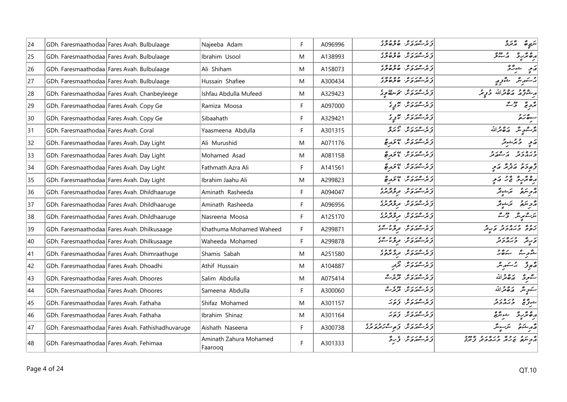| 24 |                                           | GDh. Faresmaathodaa Fares Avah. Bulbulaage        | Najeeba Adam                      | F | A096996 | ر ، ہ ر ر ہ ۔ وہ د پ ،<br>تو بر سوری در صور صور          | سَرْمٍ صَدَّ الرَّحْرَ حَرْ                      |
|----|-------------------------------------------|---------------------------------------------------|-----------------------------------|---|---------|----------------------------------------------------------|--------------------------------------------------|
| 25 |                                           | GDh. Faresmaathodaa Fares Avah. Bulbulaage        | Ibrahim Usool                     | M | A138993 | ر ۽ ہ ر ر ہ ۔ د ہ د د ۽<br>زير سهروس صوصوت               | ەر ھەتمەر 2<br>س<br>رحبيثو                       |
| 26 |                                           | GDh. Faresmaathodaa Fares Avah. Bulbulaage        | Ali Shiham                        | M | A158073 | ر په ه ر ر ه په د و و د په<br>ز پر سوړي د مه مورون       | أركمني المسترجمة                                 |
| 27 |                                           | GDh. Faresmaathodaa Fares Avah. Bulbulaage        | Hussain Shafiee                   | M | A300434 | ر ۽ ه ريره د وه وي ۽<br>تي <i>پڻ سهره س</i>              | رحستهر شر مش <i>تور</i><br>استعراض               |
| 28 |                                           | GDh. Faresmaathodaa Fares Avah. Chanbeyleege      | Ishfau Abdulla Mufeed             | M | A329423 | ز ، ورزه . په سه ،                                       | أم شورٌ مَد مَداللّه وَمِيعَر                    |
| 29 | GDh. Faresmaathodaa Fares Avah. Copy Ge   |                                                   | Ramiza Moosa                      | F | A097000 | ر ۽ ھيءيو ۽ سيمبر ۽<br>تو پڻ سهري تر سيمبر ۽             | أترونج وحسة                                      |
| 30 | GDh. Faresmaathodaa Fares Avah. Copy Ge   |                                                   | Sibaahath                         | F | A329421 | ر ، ق د ره . سي ،<br>توسير شمېر د موږي                   | سرەتىرە                                          |
| 31 | GDh. Faresmaathodaa Fares Avah. Coral     |                                                   | Yaasmeena Abdulla                 | F | A301315 | ر ، ەررو. ، رە                                           | مرَّ- يتر مَصْرَاللّه                            |
| 32 | GDh. Faresmaathodaa Fares Avah. Day Light |                                                   | Ali Murushid                      | M | A071176 | ر ، ٥ ر ر ٥ ، ، ، ٥ ، ٥                                  | أرشمي وحميشوقر                                   |
| 33 | GDh. Faresmaathodaa Fares Avah. Day Light |                                                   | Mohamed Asad                      | M | A081158 | ر ، قراره ، ، در ه                                       | כנסנכ הפניב<br><i>כהחכת ה</i> שו <i>מ</i> ת      |
| 34 | GDh. Faresmaathodaa Fares Avah. Day Light |                                                   | Fathmath Azra Ali                 | F | A141561 | ر ، ورره په دره                                          | و به به به به به به به                           |
| 35 | GDh. Faresmaathodaa Fares Avah. Day Light |                                                   | Ibrahim Jaahu Ali                 | M | A299823 | ر ، ٥ ر ر ٥ ، ، ، د ٥ ،                                  | رە ئرىرو ئەز كەپ                                 |
| 36 |                                           | GDh. Faresmaathodaa Fares Avah. Dhildhaaruge      | Aminath Rasheeda                  | F | A094047 | ر ، ەررە.<br>ۋىرسىمەھىر: تېرىۋىرىمەد                     | أرتجه سيختفر مكرسفونتكر                          |
| 37 |                                           | GDh. Faresmaathodaa Fares Avah. Dhildhaaruge      | Aminath Rasheeda                  | F | A096956 | ر ، ه د ر ه<br>تو بر سهره س میگرفترس                     | أثر والترة والمرسفونش                            |
| 38 |                                           | GDh. Faresmaathodaa Fares Avah. Dhildhaaruge      | Nasreena Moosa                    | F | A125170 | ر ۽ ھ ر ر ھ<br>تي بن سه جي سي تي تي بندي                 | يرے پر بگر حق ش                                  |
| 39 |                                           | GDh. Faresmaathodaa Fares Avah. Dhilkusaage       | Khathuma Mohamed Waheed           | F | A299871 | ر ، ق دره . د و و » ،<br>تو پژستهروش . ترون ستی          | روه وره رو ریدو                                  |
| 40 |                                           | GDh. Faresmaathodaa Fares Avah. Dhilkusaage       | Waheeda Mohamed                   | F | A299878 | ر ، ۲۰٫۵ و ۶۰٫۰<br>زیر شهرویں مرور شی                    | دره دره دره<br>  درگر درگردند                    |
| 41 |                                           | GDh. Faresmaathodaa Fares Avah. Dhimraathuge      | Shamis Sabah                      | M | A251580 | ر په ۲۰۰۵ ورو د د د د<br>نو پر سه د کرد کرد کرد و د      | شوره بده و                                       |
| 42 | GDh. Faresmaathodaa Fares Avah. Dhoadhi   |                                                   | Athif Hussain                     | M | A104887 | تر پڑے پڑھو گھر تھی تھی                                  | ۇ بۇ بەسكىرىش                                    |
| 43 | GDh. Faresmaathodaa Fares Avah. Dhoores   |                                                   | Salim Abdulla                     | M | A075414 | ر ، ەررە بەدە مە                                         | استمعرى وكاله تدالله                             |
| 44 | GDh. Faresmaathodaa Fares Avah. Dhoores   |                                                   | Sameena Abdulla                   | F | A300060 | ر ، ەررە بود، م                                          | سَمَّحٍيثَر صَرَّةَ مِّرَاللَّهُ                 |
| 45 | GDh. Faresmaathodaa Fares Avah. Fathaha   |                                                   | Shifaz Mohamed                    | M | A301157 | ر ، قەررە بەرد                                           | أشوقهم ورودة                                     |
| 46 | GDh. Faresmaathodaa Fares Avah. Fathaha   |                                                   | Ibrahim Shinaz                    | M | A301164 | د ، ق دره . درر                                          | ەرھەتمەر 2<br>ر<br>شەمگەنج                       |
| 47 |                                           | GDh. Faresmaathodaa Fares Avah. Fathishadhuvaruge | Aishath Naseena                   | F | A300738 | ر ، ه د ره. د ه ره د د د ،<br>د بر سهروش: د ه سهرتره برد | لقهر يشكون الترسونتر                             |
| 48 | GDh. Faresmaathodaa Fares Avah. Fehimaa   |                                                   | Aminath Zahura Mohamed<br>Faaroog | F | A301333 | ر ، ق دره . ، د.<br>و بر سهروش . و رژ                    | ם הכ"ג בגם בגם בבים.<br>הבייתם ג'היה בההכנה צ'הב |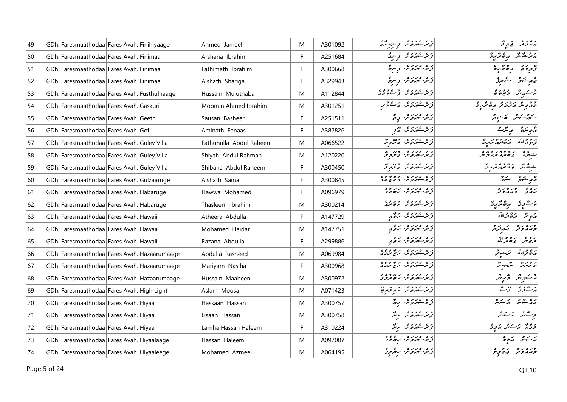| 49 |                                         | GDh. Faresmaathodaa Fares Avah. Finihiyaage  | Ahmed Jameel            | M         | A301092 | د پره د برو.<br>  د بر ۱۳۵۰ و بربر د بر                                                                                                                                                                               | پرورو کے حرفی                                        |
|----|-----------------------------------------|----------------------------------------------|-------------------------|-----------|---------|-----------------------------------------------------------------------------------------------------------------------------------------------------------------------------------------------------------------------|------------------------------------------------------|
| 50 | GDh. Faresmaathodaa Fares Avah. Finimaa |                                              | Arshana Ibrahim         | F         | A251684 | ر ، ، ، ، ، و سرچٌ                                                                                                                                                                                                    | ىر ترىشە ئىر<br>ەھ ئەرج                              |
| 51 | GDh. Faresmaathodaa Fares Avah. Finimaa |                                              | Fathimath Ibrahim       | F         | A300668 | زەرەردە. رىدۇ                                                                                                                                                                                                         | ەرھەترىر <sup>ى</sup><br>ا تو <sub>جو</sub> ر د      |
| 52 | GDh. Faresmaathodaa Fares Avah. Finimaa |                                              | Aishath Shariga         | F         | A329943 | تى ھەر ئەرە بەسرىگە                                                                                                                                                                                                   | پھر ديگر ج<br>ستشعرتنى                               |
| 53 |                                         | GDh. Faresmaathodaa Fares Avah. Fusthulhaage | Hussain Mujuthaba       | ${\sf M}$ | A112844 | ر ، ه د ر ه . د ه و د ،<br>تو پرسه د پر . تو سعونو ی                                                                                                                                                                  | بر شهر سر دورد                                       |
| 54 | GDh. Faresmaathodaa Fares Avah. Gaskuri |                                              | Moomin Ahmed Ibrahim    | M         | A301251 | د ، ه د ره . د ه ه د                                                                                                                                                                                                  | כגב ם גםגב בסיפים                                    |
| 55 | GDh. Faresmaathodaa Fares Avah. Geeth   |                                              | Sausan Basheer          | F         | A251511 | ر ۽ ه ر ره په د                                                                                                                                                                                                       | سكور سكور الأكامير                                   |
| 56 | GDh. Faresmaathodaa Fares Avah. Gofi    |                                              | Aminath Eenaas          | F         | A382826 | ر ، ہے رہ سی سی                                                                                                                                                                                                       | أقرح مقرم                                            |
| 57 |                                         | GDh. Faresmaathodaa Fares Avah. Guley Villa  | Fathuhulla Abdul Raheem | M         | A066522 | ر ، ەررە بەدە<br>توبىر سەھەر ئەنۇبونۇ                                                                                                                                                                                 | روح الله به محصر محدب و                              |
| 58 |                                         | GDh. Faresmaathodaa Fares Avah. Guley Villa  | Shiyah Abdul Rahman     | M         | A120220 | ر ، ەررە بەي ئە                                                                                                                                                                                                       | ر ٥ ٥ ٥ ٥ ٥ ٥ ٥<br>پرې <i>در بربر</i> تر س<br>شەدگەر |
| 59 |                                         | GDh. Faresmaathodaa Fares Avah. Guley Villa  | Shibana Abdul Raheem    | F         | A300450 | ر ، ەررە بەي بە<br>تىمەسىرى ئىمى ئى                                                                                                                                                                                   | ره وه ره<br>پره تربر تر<br>شەڭ ئىگر                  |
| 60 |                                         | GDh. Faresmaathodaa Fares Avah. Gulzaaruge   | Aishath Sama            | F         | A300845 | ر په ۱۷۷۵ وه و په<br>تومرسسهروس که مونع مون                                                                                                                                                                           | ە ئەر ئىشقى ئىسىز                                    |
| 61 |                                         | GDh. Faresmaathodaa Fares Avah. Habaruge     | Hawwa Mohamed           | F         | A096979 | د ، ه د د ه . د ، د ،                                                                                                                                                                                                 | برە پە<br>و رە ر د<br><i>د بە</i> پەر تىر            |
| 62 |                                         | GDh. Faresmaathodaa Fares Avah. Habaruge     | Thasleem Ibrahim        | M         | A300214 | ر ، ه د ره. د ر د ،<br>زیر ۱۳۶۰ ش                                                                                                                                                                                     | ەر ھەترىر ۋ<br>ۇشوچ                                  |
| 63 | GDh. Faresmaathodaa Fares Avah. Hawaii  |                                              | Atheera Abdulla         | F         | A147729 | ر ، ، ، ، ، ، رَوَّ ،                                                                                                                                                                                                 | صَعِيمٌ صَصْحَداللّه                                 |
| 64 | GDh. Faresmaathodaa Fares Avah. Hawaii  |                                              | Mohamed Haidar          | ${\sf M}$ | A147751 | ر ، ، ، ، ، ، ، ، ، ،                                                                                                                                                                                                 | ورەرو شەدىر                                          |
| 65 | GDh. Faresmaathodaa Fares Avah. Hawaii  |                                              | Razana Abdulla          | F         | A299886 | د ، م ، د ه . ر ، د و                                                                                                                                                                                                 | بريج يتر برد قرالله                                  |
| 66 |                                         | GDh. Faresmaathodaa Fares Avah. Hazaarumaage | Abdulla Rasheed         | M         | A069984 |                                                                                                                                                                                                                       | مَدْ هُمْرَاللّه مَرْسُومْر                          |
| 67 |                                         | GDh. Faresmaathodaa Fares Avah. Hazaarumaage | Mariyam Nasiha          | F         | A300968 | ر ، ٥ ر ر ٥ ر <u>په و د ،</u><br>ز بر ۱ <b>۰۰۰ ر ب</b> کر <del>و</del> و                                                                                                                                              | رەرە شەر                                             |
| 68 |                                         | GDh. Faresmaathodaa Fares Avah. Hazaarumaage | Hussain Maaheen         | M         | A300972 | ر ، ه د ره. کره و د ،<br>توسر سهره س                                                                                                                                                                                  | يز شهر شهر محرب هر                                   |
| 69 |                                         | GDh. Faresmaathodaa Fares Avah. High Light   | Aslam Moosa             | M         | A071423 | د پره د برو ته تروه چ                                                                                                                                                                                                 | بر عروم وحرث                                         |
| 70 | GDh. Faresmaathodaa Fares Avah. Hiyaa   |                                              | Hassaan Hassan          | M         | A300757 | ر ، مەررە<br>توبۇسىمەھ <sup>ى</sup> ز ب                                                                                                                                                                               | برە ئەش برىسىر                                       |
| 71 | GDh. Faresmaathodaa Fares Avah. Hiyaa   |                                              | Lisaan Hassan           | ${\sf M}$ | A300758 | ى ئەھمەدە بەر                                                                                                                                                                                                         | ىرىشىتى بركىش                                        |
| 72 | GDh. Faresmaathodaa Fares Avah. Hiyaa   |                                              | Lamha Hassan Haleem     | F         | A310224 | ز ، قراره بارگ                                                                                                                                                                                                        | روی ټر شهر ټروی                                      |
| 73 |                                         | GDh. Faresmaathodaa Fares Avah. Hiyaalaage   | Hassan Haleem           | ${\sf M}$ | A097007 | ر ، ەررو. پەردە                                                                                                                                                                                                       | ىز سەھ ئىمبر <sup>ى</sup>                            |
| 74 |                                         | GDh. Faresmaathodaa Fares Avah. Hiyaaleege   | Mohamed Azmeel          | M         | A064195 | ا پر پر عربر دی به سر مرکز بر سر میتواند به این برای استفاده بر استفاده بر استفاده بر استفاده بر می<br>برای میکند به سر میکند به سر میتواند به سر بر سر بر سر بر سر بر سر بر سر بر سر بر سر بر سر بر سر بر سر بر سر ب | ورەرو روو                                            |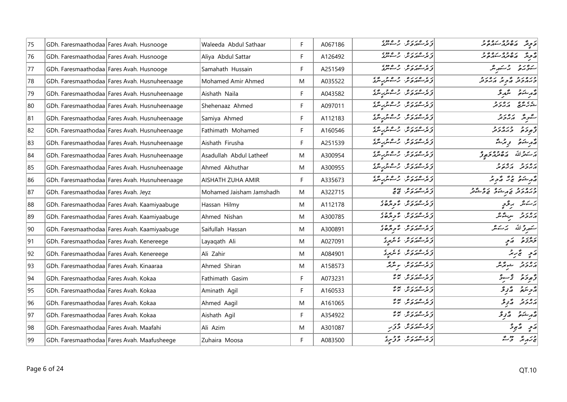| 75 |                                          | GDh. Faresmaathodaa Fares Avah. Husnooge      | Waleeda Abdul Sathaar    | F         | A067186 | د ، ه د ره . د ه دد ،                                          | و دو ده ده ده دو                                                               |
|----|------------------------------------------|-----------------------------------------------|--------------------------|-----------|---------|----------------------------------------------------------------|--------------------------------------------------------------------------------|
| 76 |                                          | GDh. Faresmaathodaa Fares Avah. Husnooge      | Aliya Abdul Sattar       | F         | A126492 | د ، ه د د ه . د ه دد ،                                         | 2201 0201 22                                                                   |
| 77 |                                          | GDh. Faresmaathodaa Fares Avah. Husnooge      | Samahath Hussain         | F         | A251549 | د ، ه د ره . د ه دد ،                                          | سۇ يەر بەر ئەسكەنلە                                                            |
| 78 |                                          | GDh. Faresmaathodaa Fares Avah. Husnuheenaage | Mohamed Amir Ahmed       | ${\sf M}$ | A035522 | ار ، ق دره او ماه دره د                                        | כנסנכ ש כ נסנכ<br>בגמבת הכת הגבת                                               |
| 79 |                                          | GDh. Faresmaathodaa Fares Avah. Husnuheenaage | Aishath Naila            | F         | A043582 | ر ، ەررە بېرىشى ،                                              | ە ئەخسى ئىر                                                                    |
| 80 |                                          | GDh. Faresmaathodaa Fares Avah. Husnuheenaage | Shehenaaz Ahmed          | F         | A097011 | و ، ، ، ، ، ، و و ، ، ، ،                                      | ے دور دورو                                                                     |
| 81 |                                          | GDh. Faresmaathodaa Fares Avah. Husnuheenaage | Samiya Ahmed             | F         | A112183 | ار ، ه دره د و ه و د »                                         | سەدەر كەردىر                                                                   |
| 82 |                                          | GDh. Faresmaathodaa Fares Avah. Husnuheenaage | Fathimath Mohamed        | F         | A160546 | ار ، ق دره او ماه دره د                                        | و در در درد                                                                    |
| 83 |                                          | GDh. Faresmaathodaa Fares Avah. Husnuheenaage | Aishath Firusha          | F         | A251539 | تى ئەمەرە بەر ئەسرىر سى                                        | مەرىشى رىرىش                                                                   |
| 84 |                                          | GDh. Faresmaathodaa Fares Avah. Husnuheenaage | Asadullah Abdul Latheef  | M         | A300954 | ار ، ه دره د و ه و د و ،                                       | بر بروالله برە وەبر و                                                          |
| 85 |                                          | GDh. Faresmaathodaa Fares Avah. Husnuheenaage | Ahmed Akhuthar           | M         | A300955 | ار ، ه دره د و ه و د و ،                                       | رەرد رورد                                                                      |
| 86 |                                          | GDh. Faresmaathodaa Fares Avah. Husnuheenaage | <b>AISHATH ZUHA AMIR</b> | F         | A335673 | تى ئەمەرە بەر ئەسرىر سى                                        | وأرشك بالمحالي وأوالم                                                          |
| 87 | GDh. Faresmaathodaa Fares Avah. Jeyz     |                                               | Mohamed Jaisham Jamshadh | ${\sf M}$ | A322715 | ر ، ٥ ر ر ٥ . ، ، ٥<br>و <del>ب</del> ر ۱ <i>۰ . و ر</i> . و ج | ورەرو ئەرىئى بەھلەر                                                            |
| 88 |                                          | GDh. Faresmaathodaa Fares Avah. Kaamiyaabuge  | Hassan Hilmy             | M         | A112178 | ر ، ، ، ، ، و.                                                 | يرسەنئە بەيۋىي                                                                 |
| 89 |                                          | GDh. Faresmaathodaa Fares Avah. Kaamiyaabuge  | Ahmed Nishan             | M         | A300785 | ر ، ہ ر ر ہ ۔ ی و ،<br>توسر سمروس کا د برھ ی                   | رەر بەرشەر                                                                     |
| 90 |                                          | GDh. Faresmaathodaa Fares Avah. Kaamiyaabuge  | Saifullah Hassan         | M         | A300891 | ر ، ، ، ، ، ، ، ، ، ،                                          | برسەمىر<br>سَتَعْصُرُ مَنْ اللَّهُ                                             |
| 91 |                                          | GDh. Faresmaathodaa Fares Avah. Kenereege     | Layaqath Ali             | M         | A027091 | د ، ه دره . ، ، ، ،                                            | كروزة وكالمحي                                                                  |
| 92 |                                          | GDh. Faresmaathodaa Fares Avah. Kenereege     | Ali Zahir                | M         | A084901 | ر ، ، ، ر ، ، ، ، ، ، ، ،<br>  تی سر سه در هر ، ما سر پر د     | أەسمجە ستى سرىتىلى                                                             |
| 93 | GDh. Faresmaathodaa Fares Avah. Kinaaraa |                                               | Ahmed Shiran             | M         | A158573 |                                                                | أرور ومنتقبهم                                                                  |
| 94 | GDh. Faresmaathodaa Fares Avah. Kokaa    |                                               | Fathimath Gasim          | F         | A073231 | ر ، قراره میژه                                                 | وتبوختم تخسوط                                                                  |
| 95 | GDh. Faresmaathodaa Fares Avah. Kokaa    |                                               | Aminath Agil             | F         | A160533 | ر ، قراره میژه                                                 | أرتج سترة المتحفظ                                                              |
| 96 | GDh. Faresmaathodaa Fares Avah. Kokaa    |                                               | Ahmed Aagil              | M         | A161065 | ر ، قراره میژه                                                 | رەر ئەر                                                                        |
| 97 | GDh. Faresmaathodaa Fares Avah. Kokaa    |                                               | Aishath Agil             | F         | A354922 | ر ، ق در پر پر                                                 | مەر شىم ئىسىمى ئى                                                              |
| 98 | GDh. Faresmaathodaa Fares Avah. Maafahi  |                                               | Ali Azim                 | M         | A301087 | زەرەردە، ئۇزىر                                                 | $\begin{array}{cc} \circ & \circ & \circ \\ \circ & \circ & \circ \end{array}$ |
| 99 |                                          | GDh. Faresmaathodaa Fares Avah. Maafusheege   | Zuhaira Moosa            | F         | A083500 | ر ، ەررە. دۇر،                                                 | ەزىر ئەستە<br>ئ                                                                |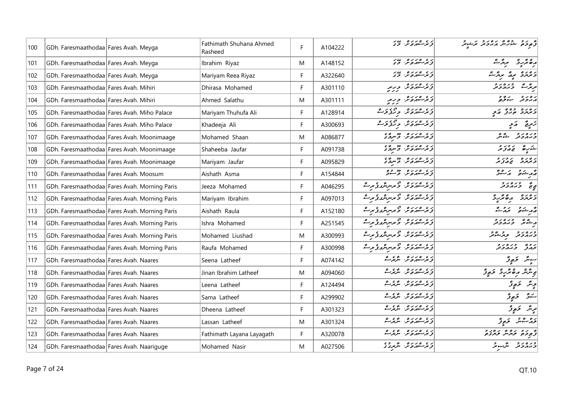| 100 | GDh. Faresmaathodaa Fares Avah. Meyga  |                                               | Fathimath Shuhana Ahmed<br>Rasheed | F. | A104222 | ر ، مردره مید<br>تر پژسوړه بر د ت                                | و و د د د د د د د د بر او د                        |
|-----|----------------------------------------|-----------------------------------------------|------------------------------------|----|---------|------------------------------------------------------------------|----------------------------------------------------|
| 101 | GDh. Faresmaathodaa Fares Avah. Meyga  |                                               | Ibrahim Riyaz                      | M  | A148152 | ر ، ق دره . ، ، د<br>تو <del>ب</del> ر شهره ش . <del>.</del> د ک | ارەپرىرە<br>ىرەڭرىشە                               |
| 102 | GDh. Faresmaathodaa Fares Avah. Meyga  |                                               | Mariyam Reea Riyaz                 | F. | A322640 | ر ، ہے رہ ، ، ، ،<br>تو پھر سور کر اور                           | ر ه ر ه<br><del>ر</del> بربرگر<br>ىرە ئەرەر شە     |
| 103 | GDh. Faresmaathodaa Fares Avah. Mihiri |                                               | Dhirasa Mohamed                    | F. | A301110 | د ، وړږو. وربر                                                   | و ره ر و<br><i>و پر</i> و تر<br>وړمگر مش           |
| 104 | GDh. Faresmaathodaa Fares Avah. Mihiri |                                               | Ahmed Salathu                      | M  | A301111 | د ، ورو.<br>د بر ۱۶۵ وربر                                        | ره رو د بروو<br>پرېدونر سنوچ                       |
| 105 |                                        | GDh. Faresmaathodaa Fares Avah. Miho Palace   | Mariyam Thuhufa Ali                | F  | A128914 | ر ، ەررە بەر بىر ە                                               | رەرە دەپ كې                                        |
| 106 |                                        | GDh. Faresmaathodaa Fares Avah. Miho Palace   | Khadeeja Ali                       | F  | A300693 | زء ہ رہے. پر ور ور د                                             | تزويعٌ = الأسمح                                    |
| 107 |                                        | GDh. Faresmaathodaa Fares Avah. Moonimaage    | Mohamed Shaan                      | M  | A086877 | ر ۽ ھربرھ آھندي<br>تي تر سوري سرچي                               | ورەرو ئەھ                                          |
| 108 |                                        | GDh. Faresmaathodaa Fares Avah. Moonimaage    | Shaheeba Jaufar                    | F. | A091738 | נים פנים וחדשים<br>ציבורו ביודעים                                | ىر 12 مىلى<br>مى <i>مى</i> رىمى<br>المشريحة        |
| 109 |                                        | GDh. Faresmaathodaa Fares Avah. Moonimaage    | Mariyam Jaufar                     | F. | A095829 | ג זי פגגם וחדות זי<br>צי <i>ג אי אי אי אי ביינד</i> י ז          | נפנס נבנב                                          |
| 110 | GDh. Faresmaathodaa Fares Avah. Moosum |                                               | Aishath Asma                       | F  | A154844 | ر ، ہ ر ر ہ ۔ د و ہ<br>تو بر سهروش کو سور                        | أمر من أو أو المركب المركبة و                      |
| 111 |                                        | GDh. Faresmaathodaa Fares Avah. Morning Paris | Jeeza Mohamed                      | F  | A046295 | ر، ورزه می سرچی و م                                              |                                                    |
| 112 |                                        | GDh. Faresmaathodaa Fares Avah. Morning Paris | Mariyam Ibrahim                    | F. | A097013 | ر ، وړ روه مه پرېټرونو پر ه                                      | נ פנים פיי פי<br>קינוניק גם <i>ג</i> ניק           |
| 113 |                                        | GDh. Faresmaathodaa Fares Avah. Morning Paris | Aishath Raula                      | F. | A152180 | كى مەردە ، ئىرسرىكى بىر ئى                                       | مەر ئىستىم ئىرە ئىس                                |
| 114 |                                        | GDh. Faresmaathodaa Fares Avah. Morning Paris | Ishra Mohamed                      | F. | A251545 | ر ، ق دره . گر سرس و بر ب                                        | و ره ر د<br>تر پر تر تر<br>مەشقىر                  |
| 115 |                                        | GDh. Faresmaathodaa Fares Avah. Morning Paris | Mohamed Liushad                    | M  | A300993 | و پر ۱۶٬۰۰۰ و مرسر مربوع کرد.                                    | ورەرو ورشگور<br>وبەدونر وپرېشگور                   |
| 116 |                                        | GDh. Faresmaathodaa Fares Avah. Morning Paris | Raufa Mohamed                      | F  | A300998 | ز ، وړره ، و پرېر شرور کرگ                                       | ىر دې<br>بىر بەرتى<br>و رە ر د<br><i>د بر</i> گرىز |
| 117 | GDh. Faresmaathodaa Fares Avah. Naares |                                               | Seena Latheef                      | F. | A074142 | ر ، ەررو. ئۇيرى                                                  | سېنگر ئۇي <sub>تۇ</sub> ر                          |
| 118 | GDh. Faresmaathodaa Fares Avah. Naares |                                               | Jinan Ibrahim Latheef              | M  | A094060 | ر ، ەررو. ئۇي ھ                                                  | وبرمر رەتزېرد ئېرو                                 |
| 119 | GDh. Faresmaathodaa Fares Avah. Naares |                                               | Leena Latheef                      | F  | A124494 | ر ، ەررو. ئۇيرى                                                  | پوسٹر کریموٹر                                      |
| 120 | GDh. Faresmaathodaa Fares Avah. Naares |                                               | Sama Latheef                       | F  | A299902 | ر ، ەررو. پۇي ھ                                                  | شۇ ئەپەيۇ                                          |
| 121 | GDh. Faresmaathodaa Fares Avah. Naares |                                               | Dheena Latheef                     | F. | A301323 | ر ، ەررو. ئۇيۇر                                                  | مړینگر کوچې تو                                     |
| 122 | GDh. Faresmaathodaa Fares Avah. Naares |                                               | Lassan Latheef                     | M  | A301324 | ر ، ەررو. پۇي ھ                                                  | ترەر شەر ئەمۇر                                     |
| 123 | GDh. Faresmaathodaa Fares Avah. Naares |                                               | Fathimath Layana Layagath          | F. | A320078 | ر ، ەررو. پۇي ھ                                                  | و و د و د و د و د و د                              |
| 124 |                                        | GDh. Faresmaathodaa Fares Avah. Naariguge     | Mohamed Nasir                      | M  | A027506 | ر ، ٥ رر ٥<br>زىرىسىمبىرى                                        | ورەرو شەر                                          |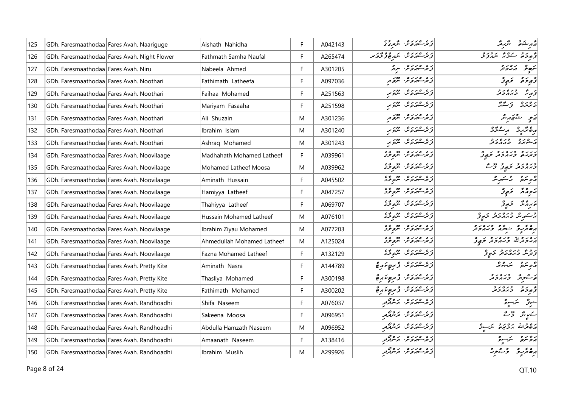| 125 |                                          | GDh. Faresmaathodaa Fares Avah. Naariguge    | Aishath Nahidha            | F | A042143 | ر ، ه د ره.<br>زیر سهره ش. شریری ی                | أقرم يسكوها التكرير                    |
|-----|------------------------------------------|----------------------------------------------|----------------------------|---|---------|---------------------------------------------------|----------------------------------------|
| 126 |                                          | GDh. Faresmaathodaa Fares Avah. Night Flower | Fathmath Samha Naufal      | F | A265474 | ر ۽ ور روپ رووي دي.<br>تي مرسوم کرد سمدھ تي توڪير | و دو ده و مروره                        |
| 127 | GDh. Faresmaathodaa Fares Avah. Niru     |                                              | Nabeela Ahmed              | F | A301205 | ر ، قەرەر سەر                                     | سَهِعٌ دَيْرٍ وَ رَ                    |
| 128 | GDh. Faresmaathodaa Fares Avah. Noothari |                                              | Fathimath Latheefa         | F | A097036 | ر ، ق د ره . «ر                                   | وٌمِ وَمَعْ لَمَ وَمِ وَّ              |
| 129 | GDh. Faresmaathodaa Fares Avah. Noothari |                                              | Faihaa Mohamed             | F | A251563 | ر ، ق د د ه . د                                   | و رە ر د<br>تر پر تر تر<br>ا تەرىر پىر |
| 130 | GDh. Faresmaathodaa Fares Avah. Noothari |                                              | Mariyam Fasaaha            | F | A251598 | ر ، ہے دے میں<br>توسیر مرکز میں سرچ س             | رەرە زىش                               |
| 131 | GDh. Faresmaathodaa Fares Avah. Noothari |                                              | Ali Shuzain                | M | A301236 |                                                   | أوسمج ويتمريش                          |
| 132 | GDh. Faresmaathodaa Fares Avah. Noothari |                                              | Ibrahim Islam              | M | A301240 | ر ، ق د د ه .<br>ژ بر شهرو بر . شهو بر            | رەپرىر رىسۇد                           |
| 133 | GDh. Faresmaathodaa Fares Avah. Noothari |                                              | Ashraq Mohamed             | M | A301243 | ر ، ے رو۔ دور                                     | ر قرار وره رو<br>مشوری وبرمرونر        |
| 134 |                                          | GDh. Faresmaathodaa Fares Avah. Noovilaage   | Madhahath Mohamed Latheef  | F | A039961 | ر ، ہ ر ر ہ ۔ ۔ ۔ ۔<br>توسر سهروس شروبخر          | رزرد دره ده کمبور                      |
| 135 |                                          | GDh. Faresmaathodaa Fares Avah. Noovilaage   | Mohamed Latheef Moosa      | M | A039962 | ر ، ہ ر رہ ۔ ۔۔ ۔ ،<br>تو بر سهروس سرونوی         | ورەرو <sub>كەب</sub> و دىم             |
| 136 |                                          | GDh. Faresmaathodaa Fares Avah. Noovilaage   | Aminath Hussain            | F | A045502 | ر ، ەررە. « »<br>تىمەسىم تەش شەپرى                | أوالمحمد المتعالي المستوسر             |
| 137 |                                          | GDh. Faresmaathodaa Fares Avah. Noovilaage   | Hamiyya Latheef            | F | A047257 | ر ، ہ ر رہ ۔ دو دی<br>توسر سهروش شرح پور          | بروادا والمجاور                        |
| 138 |                                          | GDh. Faresmaathodaa Fares Avah. Noovilaage   | Thahiyya Latheef           | F | A069707 | ر ، ەررو. « دى                                    | تەبەر ئە ئۇيۇ                          |
| 139 |                                          | GDh. Faresmaathodaa Fares Avah. Noovilaage   | Hussain Mohamed Latheef    | M | A076101 | ر ، ہ ر ر ہ ۔ ۔ ۔ ۔<br>تو بر سمدوس شروعر          | ير سكر سر در در در ديدو                |
| 140 |                                          | GDh. Faresmaathodaa Fares Avah. Noovilaage   | Ibrahim Ziyau Mohamed      | M | A077203 | ر ، ہ ر رہ ۔ دو دی<br>توسر سهروش شرح پور          | גם מינים נוחד כמגבע                    |
| 141 |                                          | GDh. Faresmaathodaa Fares Avah. Noovilaage   | Ahmedullah Mohamed Latheef | M | A125024 | ر ، ہ ر ر ہ ۔ ۔ ۔ ۔<br>توسر سهروش سرونوی          | بره روالله وبره رو تزبوی               |
| 142 |                                          | GDh. Faresmaathodaa Fares Avah. Noovilaage   | Fazna Mohamed Latheef      | F | A132129 | د ، ه د ده. دو د ،<br>د بر سهروش شروعر            | ر و د وره رو د و کورگ                  |
| 143 |                                          | GDh. Faresmaathodaa Fares Avah. Pretty Kite  | Aminath Nasra              | F | A144789 | وبمرحدة وبروبرو بمراد                             | أمجر سكره ومستركم                      |
| 144 |                                          | GDh. Faresmaathodaa Fares Avah. Pretty Kite  | Thasliya Mohamed           | F | A300198 | د عدد ده. د مرجء کرده                             | وره ورود وردو                          |
| 145 |                                          | GDh. Faresmaathodaa Fares Avah. Pretty Kite  | Fathimath Mohamed          | F | A300202 | و عدد مديره بر موسيد مربع                         | قروح ورەرد                             |
| 146 |                                          | GDh. Faresmaathodaa Fares Avah. Randhoadhi   | Shifa Naseem               | F | A076037 |                                                   | خبرگر   امکرسپور                       |
| 147 |                                          | GDh. Faresmaathodaa Fares Avah. Randhoadhi   | Sakeena Moosa              | F | A096951 |                                                   | سەر شەھ تە                             |
| 148 |                                          | GDh. Faresmaathodaa Fares Avah. Randhoadhi   | Abdulla Hamzath Naseem     | M | A096952 | ر ، ہ ر رہ ۔ رہ ہی<br>تو بڑ سوری ۔ بڑ سرفرفر      | رە داللە بروبر د سرب                   |
| 149 |                                          | GDh. Faresmaathodaa Fares Avah. Randhoadhi   | Amaanath Naseem            | F | A138416 |                                                   | پرځندې ترکو                            |
| 150 |                                          | GDh. Faresmaathodaa Fares Avah. Randhoadhi   | Ibrahim Muslih             | M | A299926 | د ، ه د ره . پره ۵ .                              | رەپرىر دىبور                           |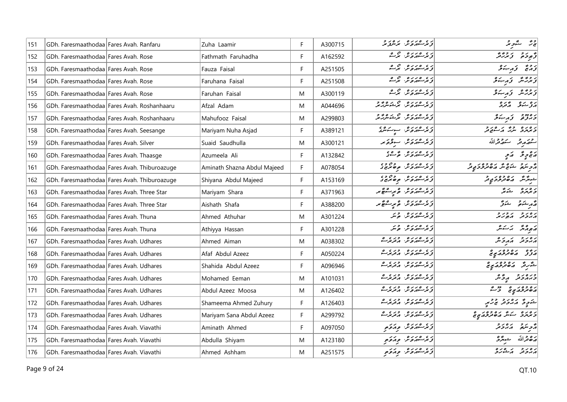| 151 | GDh. Faresmaathodaa Fares Avah. Ranfaru  |                                              | Zuha Laamir                 | F  | A300715 | د ، ه د ره . پره د و                                                     | ج ش شو بر<br>  ج ش                                                                                                                                                                                                               |
|-----|------------------------------------------|----------------------------------------------|-----------------------------|----|---------|--------------------------------------------------------------------------|----------------------------------------------------------------------------------------------------------------------------------------------------------------------------------------------------------------------------------|
| 152 | GDh. Faresmaathodaa Fares Avah. Rose     |                                              | Fathmath Faruhadha          | F. | A162592 | ز ، ورزه. چې ه                                                           | و و د و و و و د                                                                                                                                                                                                                  |
| 153 | GDh. Faresmaathodaa Fares Avah. Rose     |                                              | Fauza Faisal                | F  | A251505 | ر ، قەرىر قىرىشى ھە                                                      | أذرجج وكرجو                                                                                                                                                                                                                      |
| 154 | GDh. Faresmaathodaa Fares Avah. Rose     |                                              | Faruhana Faisal             | F. | A251508 | ز ، ەررە. برگ                                                            | ويرژش وَرسکو                                                                                                                                                                                                                     |
| 155 | GDh. Faresmaathodaa Fares Avah. Rose     |                                              | Faruhan Faisal              | M  | A300119 | ز ، ەررە. برگ                                                            | زىرگىر ئەربىگى                                                                                                                                                                                                                   |
| 156 |                                          | GDh. Faresmaathodaa Fares Avah. Roshanhaaru  | Afzal Adam                  | M  | A044696 | ر ، ق د ره ه ه د ه د و<br>تو بر شهروش هر شوشرند                          | ره رو په ده<br>پروختو پرترو                                                                                                                                                                                                      |
| 157 |                                          | GDh. Faresmaathodaa Fares Avah. Roshanhaaru  | Mahufooz Faisal             | M  | A299803 | ر ، ەررە بەرەپەر<br>توپرىسىمبەر بەشكىرىگەن                               | رەپىرە تەرىبىر                                                                                                                                                                                                                   |
| 158 | GDh. Faresmaathodaa Fares Avah. Seesange |                                              | Mariyam Nuha Asjad          | F. | A389121 | ر ، ق دره . سوستهره ،                                                    | נ סנים - כבי הם ניבות<br>כינות כ- יינגל האבייני                                                                                                                                                                                  |
| 159 | GDh. Faresmaathodaa Fares Avah. Silver   |                                              | Suaid Saudhulla             | M  | A300121 | د ، ه درو. سوده پر                                                       | حصص سنصر الله                                                                                                                                                                                                                    |
| 160 | GDh. Faresmaathodaa Fares Avah. Thaasge  |                                              | Azumeela Ali                | F  | A132842 | ر ، ەررە ، ئەر،                                                          | ەتج چۇ ھەمچ                                                                                                                                                                                                                      |
| 161 |                                          | GDh. Faresmaathodaa Fares Avah. Thiburoazuge | Aminath Shazna Abdul Majeed | F. | A078054 | נט סנגם - כמכט<br>ציג - מתפיני תפוד שיב                                  | ه در د دره بر دره در د<br>مرد سره شری س ماه تر ترد تو تر                                                                                                                                                                         |
| 162 |                                          | GDh. Faresmaathodaa Fares Avah. Thiburoazuge | Shiyana Abdul Majeed        | F  | A153169 | ر ، ه د ره موه د ، د ،<br><mark>ز</mark> بر سهروس م <sub>و</sub> ه برج د | شرمگر پر محمد حرکت محمد                                                                                                                                                                                                          |
| 163 |                                          | GDh. Faresmaathodaa Fares Avah. Three Star   | Mariyam Shara               | F. | A371963 |                                                                          | رەرە شەتر                                                                                                                                                                                                                        |
| 164 |                                          | GDh. Faresmaathodaa Fares Avah. Three Star   | Aishath Shafa               | F  | A388200 |                                                                          | مەر ئىككى ئىككى                                                                                                                                                                                                                  |
| 165 | GDh. Faresmaathodaa Fares Avah. Thuna    |                                              | Ahmed Athuhar               | M  | A301224 | ر ، ق د ده . ق ش                                                         | גם ג' די ג' די ג' די ה' די ה' די ה' די ה' די ה' די ה' די ה' די ה' די ה' די ה' די ה' די ה' די ה' די ה' די ה' די<br>די ה' די ה' די ה' די ה' די ה' די ה' די ה' די ה' די ה' די ה' די ה' די ה' די ה' די ה' די ה' די ה' די ה' די ה' די |
| 166 | GDh. Faresmaathodaa Fares Avah. Thuna    |                                              | Athiyya Hassan              | F. | A301228 | ر ، ق دره . و بر                                                         | مومد من من                                                                                                                                                                                                                       |
| 167 | GDh. Faresmaathodaa Fares Avah. Udhares  |                                              | Ahmed Aiman                 | M  | A038302 | ر ، ق دره معرد و .<br>تو بر سهروس معربگر ک                               | גפיב ג'גליל                                                                                                                                                                                                                      |
| 168 | GDh. Faresmaathodaa Fares Avah. Udhares  |                                              | Afaf Abdul Azeez            | F. | A050224 | ر ، ه د ره . ور ، ه<br>تو بر سهروس . ه تر بر سه                          | روه ره ده در و                                                                                                                                                                                                                   |
| 169 | GDh. Faresmaathodaa Fares Avah. Udhares  |                                              | Shahida Abdul Azeez         | F. | A096946 | ر ، ق دره معرد و .<br>تو بر سهره بر معرب ا                               | شرقر مەمرومىي                                                                                                                                                                                                                    |
| 170 | GDh. Faresmaathodaa Fares Avah. Udhares  |                                              | Mohamed Eeman               | M  | A101031 | ر ، ق دره معرد و .<br>تو بر سهره بر معرب ا                               | ورەر دۇھ                                                                                                                                                                                                                         |
| 171 | GDh. Faresmaathodaa Fares Avah. Udhares  |                                              | Abdul Azeez Moosa           | M  | A126402 | د ، ه د ره . د د ، د و                                                   | גם כסג ם - כבילי<br>הסט <i>יבה <sub>ש</sub>ם - כ</i> בילי                                                                                                                                                                        |
| 172 | GDh. Faresmaathodaa Fares Avah. Udhares  |                                              | Shameema Ahmed Zuhury       | F. | A126403 | ر ، ق د ده . ور ، مه                                                     | شكور مددود ودير                                                                                                                                                                                                                  |
| 173 | GDh. Faresmaathodaa Fares Avah. Udhares  |                                              | Mariyam Sana Abdul Azeez    | F  | A299792 | ر ، ق د ده . ور ، م<br>تو بر سهروس . مرتوبگر                             | ر ور و مسکن رو وور <sub>ی</sub> و<br><i>د بر بر د م</i> سکن مصر <i>خور</i> نم                                                                                                                                                    |
| 174 | GDh. Faresmaathodaa Fares Avah. Viavathi |                                              | Aminath Ahmed               | F. | A097050 | ر ، ق دره . و در                                                         | مەر ئەر ئەر ئەر                                                                                                                                                                                                                  |
| 175 | GDh. Faresmaathodaa Fares Avah. Viavathi |                                              | Abdulla Shiyam              | M  | A123180 |                                                                          | مَرْهُ قُرَاللَّهُ شَـ مَرَّرْ                                                                                                                                                                                                   |
| 176 | GDh. Faresmaathodaa Fares Avah. Viavathi |                                              | Ahmed Ashham                | M  | A251575 |                                                                          | رەرد رىشرو                                                                                                                                                                                                                       |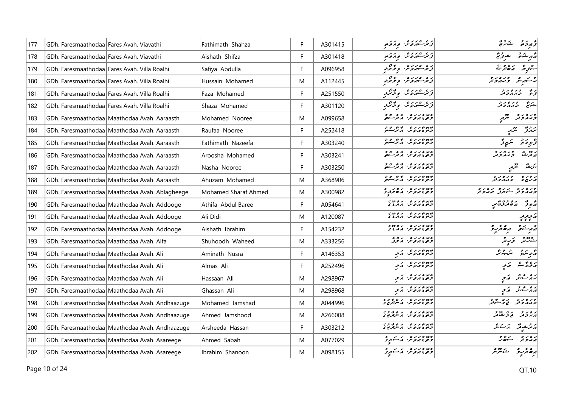| 177 | GDh. Faresmaathodaa Fares Avah. Viavathi   |                                                | Fathimath Shahza            | F. | A301415 | ر ، ق در ه. و در                                           | أوالمح وكالمحترمة                                                  |
|-----|--------------------------------------------|------------------------------------------------|-----------------------------|----|---------|------------------------------------------------------------|--------------------------------------------------------------------|
| 178 | GDh. Faresmaathodaa Fares Avah. Viavathi   |                                                | Aishath Shifza              | F. | A301418 | ر ، ق دره . و در                                           | شەۋڭج<br>و د مشو د<br>مرد مشو ه                                    |
| 179 |                                            | GDh. Faresmaathodaa Fares Avah. Villa Roalhi   | Safiya Abdulla              | F. | A096958 | ر ، ہ ر رہ<br>تو بر سهروش و <del>و</del> برو               | جَوبِرَّ صَصَّرَاللَّهُ                                            |
| 180 |                                            | GDh. Faresmaathodaa Fares Avah. Villa Roalhi   | Hussain Mohamed             | M  | A112445 | ر ، ہ درہ موٹر دی۔<br>تو بر سهروش و <del>ڈ</del> برو       | ج کے مرکز وجہ دوسر و                                               |
| 181 |                                            | GDh. Faresmaathodaa Fares Avah. Villa Roalhi   | Faza Mohamed                | F. | A251550 | د ، ، ، ، ، ، و و و ، ، ،                                  | ت ورەر د                                                           |
| 182 |                                            | GDh. Faresmaathodaa Fares Avah. Villa Roalhi   | Shaza Mohamed               | F  | A301120 |                                                            | ے پر ورور و<br>شونج وبرابروتر                                      |
| 183 |                                            | GDh. Faresmaathodaa Maathodaa Avah. Aaraasth   | Mohamed Nooree              | M  | A099658 |                                                            | و ر ه ر د<br>تر پر تر تر<br>لترمر                                  |
| 184 |                                            | GDh. Faresmaathodaa Maathodaa Avah. Aaraasth   | Raufaa Nooree               | F. | A252418 | מממננס ממסכ<br>בתומפיני היק שים                            | لترمير<br>ىردىق                                                    |
| 185 |                                            | GDh. Faresmaathodaa Maathodaa Avah. Aaraasth   | Fathimath Nazeefa           | F  | A303240 |                                                            | ژُودَهُ سَعٍرٌ                                                     |
| 186 |                                            | GDh. Faresmaathodaa Maathodaa Avah. Aaraasth   | Aroosha Mohamed             | F. | A303241 | מממגנה ממים כ                                              | ەردومىتە<br>و ره ر و<br><i>و پر</i> و تر                           |
| 187 |                                            | GDh. Faresmaathodaa Maathodaa Avah. Aaraasth   | Nasha Nooree                | F  | A303250 |                                                            | .<br> سرینڈ شرمر                                                   |
| 188 |                                            | GDh. Faresmaathodaa Maathodaa Avah. Aaraasth   | Ahuzam Mohamed              | M  | A368906 | پر پر دره پر دره<br>حوړ د ویر گريگو                        | و ره ر و<br>تر پر تر تر<br>ىر جەنچە بىر<br>مەنزىيى بىر             |
| 189 |                                            | GDh. Faresmaathodaa Maathodaa Avah. Ablagheege | <b>Mohamed Sharaf Ahmed</b> | M  | A300982 |                                                            | ورەر د بەرە بەرد<br><i>چەم</i> ردىر شى <mark>بزن</mark> ى مەردىر   |
| 190 |                                            | GDh. Faresmaathodaa Maathodaa Avah. Addooge    | Athifa Abdul Baree          | F. | A054641 | שמשנגם גם <del>ונ</del> ם<br>בס <b>צו<i>בתי ו</i>וג</b> וב | ر ۵ ۶ وه ۶ مر<br>ومجوقر                                            |
| 191 |                                            | GDh. Faresmaathodaa Maathodaa Avah. Addooge    | Ali Didi                    | M  | A120087 | מממננס נסחו<br>כם s בתפיל המ s z                           | <i>ړ و</i> ترتر<br>۶۶۶                                             |
| 192 |                                            | GDh. Faresmaathodaa Maathodaa Avah. Addooge    | Aishath Ibrahim             | F. | A154232 | שמשנגם גם <del>ונ</del> ם<br>בס <b>צו<i>בתי ו</i>וג</b> וב | مەھترىرى<br>ر<br>در ۲ سنده                                         |
| 193 | GDh. Faresmaathodaa   Maathodaa Avah. Alfa |                                                | Shuhoodh Waheed             | M  | A333256 | پر پر رو ده ده<br>وی درونز کروژ                            | ر و دو و<br>سشومر تعر<br>ءَ ٻر تر                                  |
| 194 | GDh. Faresmaathodaa Maathodaa Avah. Ali    |                                                | Aminath Nusra               | F. | A146353 | پر پر رہ در<br>حرم جما <i>د شہ</i>                         | ىتربە ئە<br>ە ئەر سىرە                                             |
| 195 | GDh. Faresmaathodaa Maathodaa Avah. Ali    |                                                | Almas Ali                   | F  | A252496 | پر پر رہ در<br>وی دی س                                     | ىرە ب <sub>ۇ ش</sub><br>ەكىسى                                      |
| 196 | GDh. Faresmaathodaa Maathodaa Avah. Ali    |                                                | Hassaan Ali                 | M  | A298967 | ويدورره ممر                                                | بروشهر<br>ەتىر                                                     |
| 197 | GDh. Faresmaathodaa Maathodaa Avah. Ali    |                                                | Ghassan Ali                 | M  | A298968 | پر پر ره کر                                                | ره مشر منو                                                         |
| 198 |                                            | GDh. Faresmaathodaa Maathodaa Avah. Andhaazuge | Mohamed Jamshad             | M  | A044996 | پر پر دره دره پر ده<br>حرم <b>درگر</b> در سرگر <u>ی</u> د  | ورەرو رەپەر<br><i>جەم</i> ەدىر ق <sub>ە</sub> رىش <mark>ەتر</mark> |
| 199 |                                            | GDh. Faresmaathodaa Maathodaa Avah. Andhaazuge | Ahmed Jamshood              | M  | A266008 | پر پر دره ده پر ده<br>ترج د بر در مرتزی                    | ر ہ ر ح د د د د<br>پربرختر نے پر شوتر                              |
| 200 |                                            | GDh. Faresmaathodaa Maathodaa Avah. Andhaazuge | Arsheeda Hassan             | F. | A303212 | پر پر دره دره پر ده<br>حرم <b>د مر</b> در مرتری د          | مەمرىسىدىگە بەسكىلگە                                               |
| 201 |                                            | GDh. Faresmaathodaa Maathodaa Avah. Asareege   | Ahmed Sabah                 | M  | A077029 | پر پر دره برگرده<br>حقیقه ویژ برگشتیری                     | رەرو سەرو                                                          |
| 202 |                                            | GDh. Faresmaathodaa Maathodaa Avah. Asareege   | Ibrahim Shanoon             | M  | A098155 | پیوبرره برگره<br>حقحه مقر ایکسیونی                         | دە ئەرە ئەدەر                                                      |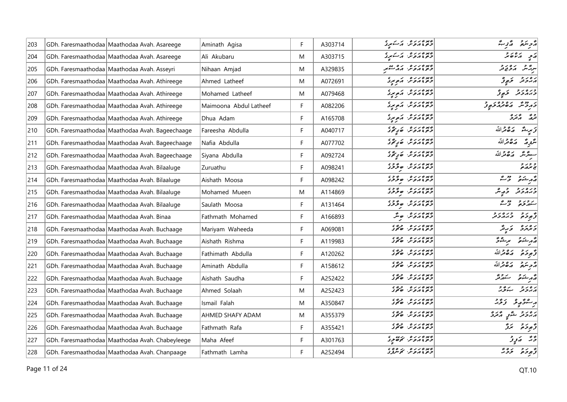| 203 | GDh. Faresmaathodaa Maathodaa Avah. Asareege    | Aminath Agisa           | F | A303714 | پیوبرره برگره<br>حوودمون برگوری                                                                                                                                                                                                                                                                                                                                                                                                                                  | أثر حرمتهم<br>ە ئەتەپ ئىسىگە                           |
|-----|-------------------------------------------------|-------------------------|---|---------|------------------------------------------------------------------------------------------------------------------------------------------------------------------------------------------------------------------------------------------------------------------------------------------------------------------------------------------------------------------------------------------------------------------------------------------------------------------|--------------------------------------------------------|
| 204 | GDh. Faresmaathodaa Maathodaa Avah. Asareege    | Ali Akubaru             | M | A303715 | پر پر دره برگرده<br>حقیقه ویژگی برگستمبری                                                                                                                                                                                                                                                                                                                                                                                                                        | $\begin{vmatrix} 2 & 2 & 2 \\ 2 & 3 & 2 \end{vmatrix}$ |
| 205 | GDh. Faresmaathodaa Maathodaa Avah. Asseyri     | Nihaan Amjad            | M | A329835 |                                                                                                                                                                                                                                                                                                                                                                                                                                                                  | سرگر گروم د                                            |
| 206 | GDh. Faresmaathodaa Maathodaa Avah. Athireege   | Ahmed Latheef           | M | A072691 |                                                                                                                                                                                                                                                                                                                                                                                                                                                                  | برەر دىر دې                                            |
| 207 | GDh. Faresmaathodaa Maathodaa Avah. Athireege   | Mohamed Latheef         | M | A079468 | ומי מגם היה היה היה בין היה היה בין היה בין היה בין היה בין היה בין בין היה בין בין היה בין בין היה בין בין הי<br>היה בין היה בין היה בין היה בין היה בין היה בין היה בין היה בין היה בין בין היה בין בין היה בין בין היה בין בי                                                                                                                                                                                                                                 | ورەر دېرە                                              |
| 208 | GDh. Faresmaathodaa Maathodaa Avah. Athireege   | Maimoona Abdul Latheef  | F | A082206 | ימינגם.<br>כתובתפתי ה <sub>תמ</sub> ל                                                                                                                                                                                                                                                                                                                                                                                                                            | בתכת הסינת בתב                                         |
| 209 | GDh. Faresmaathodaa Maathodaa Avah. Athireege   | Dhua Adam               | F | A165708 | במיניני ה <sub>קימ</sub> ל                                                                                                                                                                                                                                                                                                                                                                                                                                       | و په مرده<br>تر <i>ه</i> گرترو                         |
| 210 | GDh. Faresmaathodaa Maathodaa Avah. Bageechaage | Fareesha Abdulla        | F | A040717 |                                                                                                                                                                                                                                                                                                                                                                                                                                                                  | برە قراللە<br> تزىرىشە                                 |
| 211 | GDh. Faresmaathodaa Maathodaa Avah. Bageechaage | Nafia Abdulla           | F | A077702 |                                                                                                                                                                                                                                                                                                                                                                                                                                                                  | <i>سَّعِيةً مَ</i> صَّدَاللَّه                         |
| 212 | GDh. Faresmaathodaa Maathodaa Avah. Bageechaage | Siyana Abdulla          | F | A092724 |                                                                                                                                                                                                                                                                                                                                                                                                                                                                  | جوَيْرَ صَدَّقْرَاللَّهُ                               |
| 213 | GDh. Faresmaathodaa Maathodaa Avah. Bilaaluge   | Zuruathu                | F | A098241 | پر پر دره<br>وي درونر مونور                                                                                                                                                                                                                                                                                                                                                                                                                                      | و و ر و<br>بح بمرجر ح                                  |
| 214 | GDh. Faresmaathodaa Maathodaa Avah. Bilaaluge   | Aishath Moosa           | F | A098242 | پر در رو.<br>وي درونر : ھڅخه                                                                                                                                                                                                                                                                                                                                                                                                                                     | دين شهر<br>لتجميعتمو                                   |
| 215 | GDh. Faresmaathodaa Maathodaa Avah. Bilaaluge   | Mohamed Mueen           | M | A114869 | پر در رو<br>وی درونر مونور                                                                                                                                                                                                                                                                                                                                                                                                                                       | و ره ر د<br>تر پر ژنر<br>خەرىش                         |
| 216 | GDh. Faresmaathodaa Maathodaa Avah. Bilaaluge   | Saulath Moosa           | F | A131464 | پر در رو<br>وی دوش صوری                                                                                                                                                                                                                                                                                                                                                                                                                                          | سەدىرە دەپ                                             |
| 217 | GDh. Faresmaathodaa Maathodaa Avah. Binaa       | Fathmath Mohamed        | F | A166893 | پیوبرره<br>دی دوبر صگر                                                                                                                                                                                                                                                                                                                                                                                                                                           | و بر ۵ پر و<br>تر ټرکر تر<br>ا تو پر بر د              |
| 218 | GDh. Faresmaathodaa Maathodaa Avah. Buchaage    | Mariyam Waheeda         | F | A069081 | $\begin{array}{cc} c \leftrightarrow c & o & o \lor o \times c \to c \circ c \circ c \circ c \lor c & o \lor c \circ c \end{array}$                                                                                                                                                                                                                                                                                                                              | د ۱۵ د کار تر                                          |
| 219 | GDh. Faresmaathodaa Maathodaa Avah. Buchaage    | Aishath Rishma          | F | A119983 |                                                                                                                                                                                                                                                                                                                                                                                                                                                                  | أأور مشكم أستمر المراشور                               |
| 220 | GDh. Faresmaathodaa Maathodaa Avah. Buchaage    | Fathimath Abdulla       | F | A120262 | $\begin{array}{cc} \mathcal{C} & \mathcal{C} & \mathcal{C} & \mathcal{C} & \mathcal{C} & \mathcal{C} & \mathcal{C} & \mathcal{C} & \mathcal{C} & \mathcal{C} & \mathcal{C} & \mathcal{C} & \mathcal{C} & \mathcal{C} & \mathcal{C} & \mathcal{C} & \mathcal{C} & \mathcal{C} & \mathcal{C} & \mathcal{C} & \mathcal{C} & \mathcal{C} & \mathcal{C} & \mathcal{C} & \mathcal{C} & \mathcal{C} & \mathcal{C} & \mathcal{C} & \mathcal{C} & \mathcal{C} & \mathcal$ | وتجوح وكالله                                           |
| 221 | GDh. Faresmaathodaa Maathodaa Avah. Buchaage    | Aminath Abdulla         | F | A158612 | $\begin{array}{cc} c \leftrightarrow c & o & o \lor o \to c \to c \ S \to c & o \lor c & o \end{array}$                                                                                                                                                                                                                                                                                                                                                          | أتحريمهم الاهتمالله                                    |
| 222 | GDh. Faresmaathodaa Maathodaa Avah. Buchaage    | Aishath Saudha          | F | A252422 | $\begin{array}{cc} c \leftrightarrow c & o & o \lor o \to c \to c \ S \to c & o \lor c & o \end{array}$                                                                                                                                                                                                                                                                                                                                                          | وكرم شكوه المستحرك                                     |
| 223 | GDh. Faresmaathodaa Maathodaa Avah. Buchaage    | Ahmed Solaah            | M | A252423 | $\begin{array}{cc} c \leftrightarrow c & o & o \lor o \times c \to c \circ c \circ c \lor c & o \lor c \circ c \end{array}$                                                                                                                                                                                                                                                                                                                                      | رەر دېرو<br>مەرو سىۋىر                                 |
| 224 | GDh. Faresmaathodaa Maathodaa Avah. Buchaage    | Ismail Falah            | M | A350847 | $\begin{array}{cc} \mathcal{C} \mathcal{D} & \mathcal{O} \times \mathcal{D} \times \mathcal{D} \ \mathcal{D} \mathcal{D} & \mathcal{D} \mathcal{D} \end{array}$                                                                                                                                                                                                                                                                                                  | ر مو د و د د د د                                       |
| 225 | GDh. Faresmaathodaa Maathodaa Avah. Buchaage    | <b>AHMED SHAFY ADAM</b> | M | A355379 |                                                                                                                                                                                                                                                                                                                                                                                                                                                                  | أرور ومشري أدوره                                       |
| 226 | GDh. Faresmaathodaa Maathodaa Avah. Buchaage    | Fathmath Rafa           | F | A355421 |                                                                                                                                                                                                                                                                                                                                                                                                                                                                  | توجوحه بمز                                             |
| 227 | GDh. Faresmaathodaa Maathodaa Avah. Chabeyleege | Maha Afeef              | F | A301763 |                                                                                                                                                                                                                                                                                                                                                                                                                                                                  | دُبُرٌ الْمَرِوْ                                       |
| 228 | GDh. Faresmaathodaa Maathodaa Avah. Chanpaage   | Fathmath Lamha          | F | A252494 | پر پر دره در ۵۶۵<br>ده د دروس کوسرور                                                                                                                                                                                                                                                                                                                                                                                                                             | و ده ده و                                              |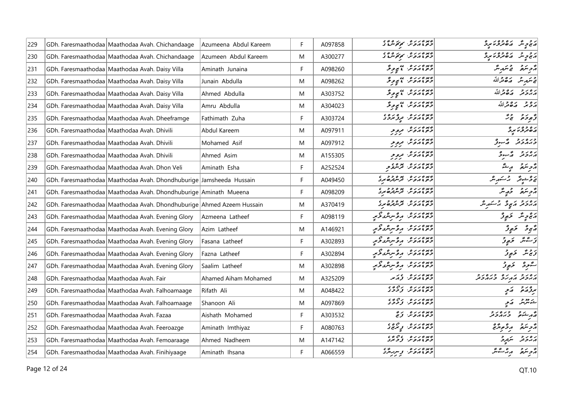| 229 |                                          | GDh. Faresmaathodaa Maathodaa Avah. Chichandaage                      | Azumeena Abdul Kareem | F         | A097858 |                                                                         | ر د پر مصر در در ده                                 |
|-----|------------------------------------------|-----------------------------------------------------------------------|-----------------------|-----------|---------|-------------------------------------------------------------------------|-----------------------------------------------------|
| 230 |                                          | GDh. Faresmaathodaa Maathodaa Avah. Chichandaage                      | Azumeen Abdul Kareem  | M         | A300277 |                                                                         | ړه ده ره<br>پره ترور نړو<br>ېر چ <sub>ې</sub> په شر |
| 231 |                                          | GDh. Faresmaathodaa Maathodaa Avah. Daisy Villa                       | Aminath Junaina       | F         | A098260 | د د دره ، ،<br>دو، دوس ، ، پوځ                                          | أأدجني والمتماسي                                    |
| 232 |                                          | GDh. Faresmaathodaa Maathodaa Avah. Daisy Villa                       | Junain Abdulla        | M         | A098262 | و د دره به دوگر<br>دو دروس و پوځ                                        | ەھىراللە<br>قے سَرمہ سَر                            |
| 233 |                                          | GDh. Faresmaathodaa Maathodaa Avah. Daisy Villa                       | Ahmed Abdulla         | M         | A303752 | <br>  جېرومرده په په موځه                                               | رەرو رەقراللە                                       |
| 234 |                                          | GDh. Faresmaathodaa Maathodaa Avah. Daisy Villa                       | Amru Abdulla          | M         | A304023 | وبدور ره په په دگ                                                       | مَدْحَمَّدَ مَهْ صَمَّرَاللَّهُ                     |
| 235 |                                          | GDh. Faresmaathodaa Maathodaa Avah. Dheeframge                        | Fathimath Zuha        | F         | A303724 | پر در ده.<br>د د ډولر تړ و مرد د                                        | أوجوحه بنجر                                         |
| 236 |                                          | GDh. Faresmaathodaa Maathodaa Avah. Dhivili                           | Abdul Kareem          | M         | A097911 | ر دره دره دروو<br>(وه د د وګر دره د                                     | ر <i>2000 و</i><br>در ه تر تر بر د                  |
| 237 |                                          | GDh. Faresmaathodaa Maathodaa Avah. Dhivili                           | Mohamed Asif          | M         | A097912 | ہ دورہ<br>  وہ دورہ دروو<br>  رود دور                                   | ورەرو ئەسوۋ                                         |
| 238 |                                          | GDh. Faresmaathodaa Maathodaa Avah. Dhivili                           | Ahmed Asim            | M         | A155305 | ر دره<br>حوړه د کار مرومو                                               | גם גב הליייב                                        |
| 239 |                                          | GDh. Faresmaathodaa Maathodaa Avah. Dhon Veli                         | Aminath Esha          | F         | A252524 | پر دربره مده د د<br>جمع ماد مرسوع                                       | أروسكم أربث                                         |
| 240 |                                          | GDh. Faresmaathodaa Maathodaa Avah. Dhondhuburige Jamsheeda Hussain   |                       | F         | A049450 | پر پر رہے۔ یہ ہ د د د د د<br>حرم <b>ء ا</b> ر و س تر سربر <i>ہ ہو ی</i> | قەۋشوش سىسكىرىش                                     |
| 241 |                                          | GDh. Faresmaathodaa Maathodaa Avah. Dhondhuburige Aminath Mueena      |                       | F         | A098209 | پر پر رہے۔ یہ ہ د د د د د<br>حرم ع ہ کو س کو سربر ت ہو ی                | ړٌ پر سَر په د                                      |
| 242 |                                          | GDh. Faresmaathodaa Maathodaa Avah. Dhondhuburige Ahmed Azeem Hussain |                       | M         | A370419 | שמשנינים מסכפים<br>כפי הפיני נניינטפינים                                | גפגב ג'ן בי ג' איתיית                               |
| 243 |                                          | GDh. Faresmaathodaa Maathodaa Avah. Evening Glory                     | Azmeena Latheef       | F         | A098119 | ويدورره روسره روير                                                      | ړ چې شر نوپې ژ                                      |
| 244 |                                          | GDh. Faresmaathodaa Maathodaa Avah. Evening Glory                     | Azim Latheef          | M         | A146921 | وبدريرو برو برسو وبر                                                    | وحجي وحج<br>ځېږو                                    |
| 245 |                                          | GDh. Faresmaathodaa Maathodaa Avah. Evening Glory                     | Fasana Latheef        | F         | A302893 | ويدوررو. روسرسي وير                                                     | ۇ شەشر<br>ځ چې تر                                   |
| 246 |                                          | GDh. Faresmaathodaa Maathodaa Avah. Evening Glory                     | Fazna Latheef         | F         | A302894 | ويدورره مؤسره ومر                                                       | ۇچ ئىر كەنبۇ ۋ                                      |
| 247 |                                          | GDh. Faresmaathodaa Maathodaa Avah. Evening Glory                     | Saalim Latheef        | M         | A302898 | ويدورره موسره دعبر                                                      | سەرو كەرۇ                                           |
| 248 | GDh. Faresmaathodaa Maathodaa Avah. Fair |                                                                       | Ahamed Aiham Mohamed  | ${\sf M}$ | A325209 | ويدورره ورير                                                            | גם גב ג'ק בגם בג'ם.<br>הגבת ההגב בגהבת              |
| 249 |                                          | GDh. Faresmaathodaa Maathodaa Avah. Falhoamaage                       | Rifath Ali            | M         | A048422 | ەيدەررە رەھ دە<br>53.مەس                                                | برورد كمبر                                          |
| 250 |                                          | GDh. Faresmaathodaa   Maathodaa Avah. Falhoamaage                     | Shanoon Ali           | M         | A097869 |                                                                         | ے پیچ کے مرکز                                       |
| 251 |                                          | GDh. Faresmaathodaa Maathodaa Avah. Fazaa                             | Aishath Mohamed       | F         | A303532 |                                                                         | و ره ر و<br>تر پر ژنر<br>و.<br>در کار شوی           |
| 252 |                                          | GDh. Faresmaathodaa Maathodaa Avah. Feeroazge                         | Aminath Imthiyaz      | F         | A080763 | پر در رو.<br>وی دونر. و پر دی                                           | أرمر وسنعو<br>ה כ יו די ס                           |
| 253 |                                          | GDh. Faresmaathodaa Maathodaa Avah. Femoaraage                        | Ahmed Nadheem         | M         | A147142 | ہیوبررہ یہ دی<br>حووج موس وحص                                           | پروژو<br>سربر و                                     |
| 254 |                                          | GDh. Faresmaathodaa Maathodaa Avah. Finihiyaage                       | Aminath Ihsana        | F         | A066559 | ويدررو. وسربرو                                                          | مەرىسى مەشقىر                                       |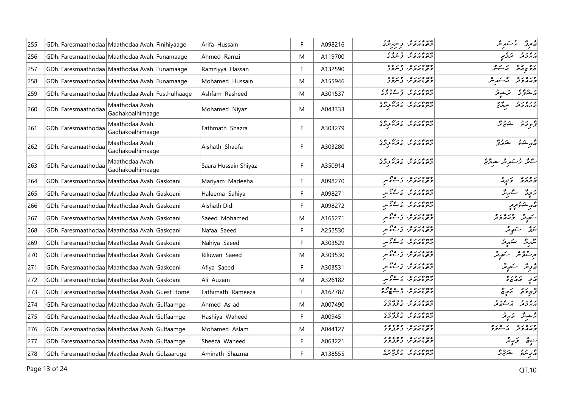| 255 |                     | GDh. Faresmaathodaa Maathodaa Avah. Finihiyaage  | Arifa Hussain        | F | A098216 | במינים וקיינים                                                                                                                                                                                                                                                                                                                                                                                                                                                    | ە ئىبرۇ بۇ سەربىر                            |
|-----|---------------------|--------------------------------------------------|----------------------|---|---------|-------------------------------------------------------------------------------------------------------------------------------------------------------------------------------------------------------------------------------------------------------------------------------------------------------------------------------------------------------------------------------------------------------------------------------------------------------------------|----------------------------------------------|
| 256 |                     | GDh. Faresmaathodaa Maathodaa Avah. Funamaage    | Ahmed Ramzi          | M | A119700 | מממננס - כנמש<br>כם 2 מפיני ציינביב                                                                                                                                                                                                                                                                                                                                                                                                                               | أرور و ده د                                  |
| 257 |                     | GDh. Faresmaathodaa Maathodaa Avah. Funamaage    | Ramziyya Hassan      | F | A132590 | ומי וגם בגובה<br>בתצמפית ציינבצ                                                                                                                                                                                                                                                                                                                                                                                                                                   | بره وه پر کر                                 |
| 258 |                     | GDh. Faresmaathodaa Maathodaa Avah. Funamaage    | Mohamed Hussain      | M | A155946 | מממנגם - כנמש<br>בתצו <i>בת צ</i> יינבצ                                                                                                                                                                                                                                                                                                                                                                                                                           | ورەرو ويەر                                   |
| 259 |                     | GDh. Faresmaathodaa Maathodaa Avah. Fusthulhaage | Ashfam Rasheed       | M | A301537 | $\begin{array}{ccc} \mathcal{C} & \mathcal{C} & \mathcal{C} & \mathcal{C} & \mathcal{C} & \mathcal{C} & \mathcal{C} & \mathcal{C} & \mathcal{C} & \mathcal{C} & \mathcal{C} & \mathcal{C} & \mathcal{C} & \mathcal{C} & \mathcal{C} & \mathcal{C} & \mathcal{C} & \mathcal{C} & \mathcal{C} & \mathcal{C} & \mathcal{C} & \mathcal{C} & \mathcal{C} & \mathcal{C} & \mathcal{C} & \mathcal{C} & \mathcal{C} & \mathcal{C} & \mathcal{C} & \mathcal{C} & \mathcal$ | كالشوكر كالمحاضر                             |
| 260 | GDh. Faresmaathodaa | Maathodaa Avah.<br>Gadhakoalhimaage              | Mohamed Niyaz        | M | A043333 | $\begin{array}{ccc} & c & c & c & c & c \ c & c & c & c & c \ c & c & c & c & c \end{array}$                                                                                                                                                                                                                                                                                                                                                                      | و ر ه ر و<br>و بر پر و تر<br>سرگرم           |
| 261 | GDh. Faresmaathodaa | Maathodaa Avah.<br>Gadhakoalhimaaqe              | Fathmath Shazra      | F | A303279 |                                                                                                                                                                                                                                                                                                                                                                                                                                                                   | شەيخ ئىگر<br>وٌجو پر و                       |
| 262 | GDh. Faresmaathodaa | Maathodaa Avah.<br>Gadhakoalhimaage              | Aishath Shaufa       | F | A303280 | מממננס ננקס מה<br>כתובת בינטיפלב                                                                                                                                                                                                                                                                                                                                                                                                                                  | ر<br>در ۲ سنه د<br>شەرقر                     |
| 263 | GDh. Faresmaathodaa | Maathodaa Avah.<br>Gadhakoalhimaaqe              | Saara Hussain Shiyaz | F | A350914 | $\begin{array}{ccc} \epsilon & \epsilon & \epsilon & \epsilon & \epsilon & \epsilon \\ \epsilon & \epsilon & \epsilon & \epsilon & \epsilon & \epsilon \\ \epsilon & \epsilon & \epsilon & \epsilon & \epsilon & \epsilon & \epsilon \end{array}$                                                                                                                                                                                                                 | سەنگە برىسەر سىر ش <sub>ە</sub> رىج          |
| 264 |                     | GDh. Faresmaathodaa Maathodaa Avah. Gaskoani     | Mariyam Madeeha      | F | A098270 | ويدورره بره مه                                                                                                                                                                                                                                                                                                                                                                                                                                                    | تر جمهور و<br>تر <i>جم</i> هور و<br>تر مورثر |
| 265 |                     | GDh. Faresmaathodaa Maathodaa Avah. Gaskoani     | Haleema Sahiya       | F | A098271 | ويدورره روم                                                                                                                                                                                                                                                                                                                                                                                                                                                       | ستهردش<br>برَجِرةٌ                           |
| 266 |                     | GDh. Faresmaathodaa Maathodaa Avah. Gaskoani     | Aishath Didi         | F | A098272 | به دربره در ۵۵ سر                                                                                                                                                                                                                                                                                                                                                                                                                                                 | ر<br>په کر شکوه تورتور                       |
| 267 |                     | GDh. Faresmaathodaa   Maathodaa Avah. Gaskoani   | Saeed Mohamed        | M | A165271 | ويدورره برعام سر                                                                                                                                                                                                                                                                                                                                                                                                                                                  | سكهاش وره در                                 |
| 268 |                     | GDh. Faresmaathodaa Maathodaa Avah. Gaskoani     | Nafaa Saeed          | F | A252530 | ويدورره براه مهر                                                                                                                                                                                                                                                                                                                                                                                                                                                  | سَرَقْ سَنَ سَرِيْتُر                        |
| 269 |                     | GDh. Faresmaathodaa Maathodaa Avah. Gaskoani     | Nahiya Saeed         | F | A303529 | پیوبربره بر وی<br>جوړوموس کې شرکاس                                                                                                                                                                                                                                                                                                                                                                                                                                | مُرْرِيرٌ سَمَدٍ مِرْ                        |
| 270 |                     | GDh. Faresmaathodaa Maathodaa Avah. Gaskoani     | Riluwan Saeed        | M | A303530 | ويدورره براه مهر                                                                                                                                                                                                                                                                                                                                                                                                                                                  | برڪوڻش ڪميرنر                                |
| 271 |                     | GDh. Faresmaathodaa Maathodaa Avah. Gaskoani     | Afiya Saeed          | F | A303531 | پیوبر رہ در رہے<br>حووموں کے سرناس                                                                                                                                                                                                                                                                                                                                                                                                                                | ړ پورتر کو سکوړند                            |
| 272 |                     | GDh. Faresmaathodaa Maathodaa Avah. Gaskoani     | Ali Auzam            | M | A326182 | معدر ده. د ۵۵ سر                                                                                                                                                                                                                                                                                                                                                                                                                                                  | $5531$ $29$                                  |
| 273 |                     | GDh. Faresmaathodaa Maathodaa Avah. Guest Home   | Fathimath Rameeza    | F | A162787 |                                                                                                                                                                                                                                                                                                                                                                                                                                                                   | قَرْجِرَةً مَرَحٍ مَّ                        |
| 274 |                     | GDh. Faresmaathodaa Maathodaa Avah. Gulfaamge    | Ahmed As-ad          | M | A007490 |                                                                                                                                                                                                                                                                                                                                                                                                                                                                   | גם גם גם גב<br>הגבע הביהיב                   |
| 275 |                     | GDh. Faresmaathodaa Maathodaa Avah. Gulfaamge    | Hashiya Waheed       | F | A009451 | پر پر رہ ۔ ۔ ۔ ۔ ۔<br>حوج ہوس ک <b>ے</b> توقی ح                                                                                                                                                                                                                                                                                                                                                                                                                   | بُرُّحُوشٌ کَرِبُرِکُرُ                      |
| 276 |                     | GDh. Faresmaathodaa Maathodaa Avah. Gulfaamge    | Mohamed Aslam        | M | A044127 | پر پر رہ دہ دہ ہ<br>حووجہ حرکت کی محرکی حرکت                                                                                                                                                                                                                                                                                                                                                                                                                      | ورەرو پەرەرە                                 |
| 277 |                     | GDh. Faresmaathodaa Maathodaa Avah. Gulfaamge    | Sheeza Waheed        | F | A063221 | sosos ossess<br>Cospos de C                                                                                                                                                                                                                                                                                                                                                                                                                                       | حييج وكرقر                                   |
| 278 |                     | GDh. Faresmaathodaa Maathodaa Avah. Gulzaaruge   | Aminath Shazma       | F | A138555 | こっちのっ - 0 0 0 0 0 0<br>このまんマン - 2 セッシ                                                                                                                                                                                                                                                                                                                                                                                                                             | د دره شوه و                                  |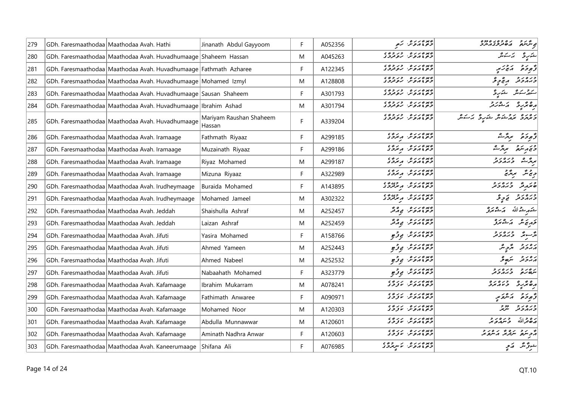| 279 | GDh. Faresmaathodaa Maathodaa Avah. Hathi                         | Jinanath Abdul Gayyoom            | F | A052356 | پر پر دره<br>وی د وین کی                                                                                                                                                                                                                                                                                                                                                                                                                                         | د در در ده وه ده ده ده<br>د سرس در از در در در            |
|-----|-------------------------------------------------------------------|-----------------------------------|---|---------|------------------------------------------------------------------------------------------------------------------------------------------------------------------------------------------------------------------------------------------------------------------------------------------------------------------------------------------------------------------------------------------------------------------------------------------------------------------|-----------------------------------------------------------|
| 280 | GDh. Faresmaathodaa Maathodaa Avah. Huvadhumaage Shaheem Hassan   |                                   | M | A045263 | پر پر رہ در دی۔<br>حوج موس کو ترجری                                                                                                                                                                                                                                                                                                                                                                                                                              | برسەمىر<br>شەر ۋ                                          |
| 281 | GDh. Faresmaathodaa Maathodaa Avah. Huvadhumaage Fathmath Azharee |                                   | F | A122345 | پر پر در در دره<br>حوړه موس کونر <del>د</del> د                                                                                                                                                                                                                                                                                                                                                                                                                  | قرموخرة المتحاكم مع                                       |
| 282 | GDh. Faresmaathodaa Maathodaa Avah. Huvadhumaage Mohamed Izmyl    |                                   | M | A128808 | پر پر رہ در دی۔<br>وی دوس کوتروی                                                                                                                                                                                                                                                                                                                                                                                                                                 | و ر ه ر د<br>تر پر تر تر<br>برچ ج چ                       |
| 283 | GDh. Faresmaathodaa Maathodaa Avah. Huvadhumaage Sausan Shaheem   |                                   | F | A301793 | پر پر رہ در دی۔<br>وی مروس کو ترور                                                                                                                                                                                                                                                                                                                                                                                                                               | سەر ئەس ئەرۋ                                              |
| 284 | GDh. Faresmaathodaa Maathodaa Avah. Huvadhumaage Ibrahim Ashad    |                                   | M | A301794 | پر پر در در در در<br>حوړه مرحلن سومرحر                                                                                                                                                                                                                                                                                                                                                                                                                           | ە ھەترىرى<br>پر شەرىتىر                                   |
| 285 | GDh. Faresmaathodaa Maathodaa Avah. Huvadhumaage                  | Mariyam Raushan Shaheem<br>Hassan | F | A339204 | מממננס בנבטים<br>כם 2 ומפיני מפ <sup>נ</sup> נכז                                                                                                                                                                                                                                                                                                                                                                                                                 | ו סוס ורוס בילוקים ואולים.<br>המחבר האולים לילוקים ואולים |
| 286 | GDh. Faresmaathodaa Maathodaa Avah. Iramaage                      | Fathmath Riyaaz                   | F | A299185 | שמשנגם המכב<br>כפשומפת המכב                                                                                                                                                                                                                                                                                                                                                                                                                                      | أقهوحهم مرتزلته                                           |
| 287 | GDh. Faresmaathodaa Maathodaa Avah. Iramaage                      | Muzainath Riyaaz                  | F | A299186 | שמשנינים ויש<br>כם 2 מפיני ו <i>מיב</i> צ                                                                                                                                                                                                                                                                                                                                                                                                                        | ىرەژىشە<br>دىم مەسى <i>گە</i>                             |
| 288 | GDh. Faresmaathodaa Maathodaa Avah. Iramaage                      | Riyaz Mohamed                     | M | A299187 | שמשנים נשה<br>כפי מפתי המכב                                                                                                                                                                                                                                                                                                                                                                                                                                      | و ر ه ر و<br>ح بر د تر تر<br>ىرەژىنە                      |
| 289 | GDh. Faresmaathodaa Maathodaa Avah. Iramaage                      | Mizuna Riyaaz                     | F | A322989 | שמשנגם.<br>כפש <b>מפ</b> תי <mark>מ</mark> מכב                                                                                                                                                                                                                                                                                                                                                                                                                   | دی شر بروژیج                                              |
| 290 | GDh. Faresmaathodaa Maathodaa Avah. Irudheymaage                  | Buraida Mohamed                   | F | A143895 | שמשמנים - כמשים<br>כפי מפיני מינטביב                                                                                                                                                                                                                                                                                                                                                                                                                             | و ره ر و<br><i>د ب</i> رگرفر<br>ە ئىرەر قىر               |
| 291 | GDh. Faresmaathodaa Maathodaa Avah. Irudheymaage                  | Mohamed Jameel                    | M | A302322 | מממננס - כגומי<br>בת2 ומפיני ו <i>ו מ</i> ציבב                                                                                                                                                                                                                                                                                                                                                                                                                   | وره دو کارگا                                              |
| 292 | GDh. Faresmaathodaa Maathodaa Avah. Jeddah                        | Shaishulla Ashraf                 | M | A252457 | پر پر دره.<br>ده د درگر د مرگر                                                                                                                                                                                                                                                                                                                                                                                                                                   | ڪورڪ الله کرھ <i>پرو</i>                                  |
| 293 | GDh. Faresmaathodaa Maathodaa Avah. Jeddah                        | Laizan Ashraf                     | M | A252459 | پر پر دره<br>درونده در نومگ                                                                                                                                                                                                                                                                                                                                                                                                                                      | ىخەرىخ شەھىر ئەستىرى                                      |
| 294 | GDh. Faresmaathodaa Maathodaa Avah. Jifuti                        | Yasira Mohamed                    | F | A158766 | أويدوبربر ومحتج ومع                                                                                                                                                                                                                                                                                                                                                                                                                                              | ەر بەسە ئەتكە<br>و ر ه ر د<br>تر پر ژنر                   |
| 295 | GDh. Faresmaathodaa Maathodaa Avah. Jifuti                        | Ahmed Yameen                      | M | A252443 | ويدورره. يې ژبو                                                                                                                                                                                                                                                                                                                                                                                                                                                  | بر ه بر و<br>م <i>ر</i> کوتر<br>ېژىپ شر                   |
| 296 | GDh. Faresmaathodaa Maathodaa Avah. Jifuti                        | Ahmed Nabeel                      | M | A252532 | <br> حيوة مركز مريح في فريح                                                                                                                                                                                                                                                                                                                                                                                                                                      | رەرو شھۇ                                                  |
| 297 | GDh. Faresmaathodaa Maathodaa Avah. Jifuti                        | Nabaahath Mohamed                 | F | A323779 | דייני פיני פיני<br>פיפו מפיני פינים                                                                                                                                                                                                                                                                                                                                                                                                                              | و رە ر د<br><i>د بر</i> گرىز<br>سرځ تر د                  |
| 298 | GDh. Faresmaathodaa Maathodaa Avah. Kafamaage                     | Ibrahim Mukarram                  | M | A078241 |                                                                                                                                                                                                                                                                                                                                                                                                                                                                  | ە ھەترىر ۋ<br>ور ه ر ه<br>د تا تر تر                      |
| 299 | GDh. Faresmaathodaa Maathodaa Avah. Kafamaage                     | Fathimath Anwaree                 | F | A090971 | ********************************                                                                                                                                                                                                                                                                                                                                                                                                                                 | قرم توجع ومستقصي                                          |
| 300 | GDh. Faresmaathodaa Maathodaa Avah. Kafamaage                     | Mohamed Noor                      | M | A120303 | $\begin{array}{ccc} \textit{c} & \textit{c} & \textit{c} & \textit{c} & \textit{c} & \textit{c} & \textit{c} & \textit{c} & \textit{c} & \textit{c} & \textit{c} & \textit{c} & \textit{c} & \textit{c} & \textit{c} & \textit{c} & \textit{c} & \textit{c} & \textit{c} & \textit{c} & \textit{c} & \textit{c} & \textit{c} & \textit{c} & \textit{c} & \textit{c} & \textit{c} & \textit{c} & \textit{c} & \textit{c} & \textit$                               | و ره ر د<br><i>و بر</i> د تر                              |
| 301 | GDh. Faresmaathodaa Maathodaa Avah. Kafamaage                     | Abdulla Munnawwar                 | M | A120601 | $\begin{array}{ccc} \texttt{c}\,\texttt{c}\,\texttt{c}\,\texttt{c}\,\texttt{c}\,\texttt{c}\,\texttt{c}\,\texttt{c}\,\texttt{c}\,\texttt{c}\,\texttt{c}\,\texttt{c}\,\texttt{c}\,\texttt{c}\,\texttt{c}\,\texttt{c}\,\texttt{c}\,\texttt{c}\,\texttt{c}\,\texttt{c}\,\texttt{c}\,\texttt{c}\,\texttt{c}\,\texttt{c}\,\texttt{c}\,\texttt{c}\,\texttt{c}\,\texttt{c}\,\texttt{c}\,\texttt{c}\,\texttt{c}\,\texttt{c}\,\texttt{c}\,\texttt{c}\,\texttt{c}\,\texttt$ | و ره ر د<br>تر سمدو بر<br>صقعرالله                        |
| 302 | GDh. Faresmaathodaa Maathodaa Avah. Kafamaage                     | Aminath Nadhra Anwar              | F | A120603 | پیوبرره رربرد<br>حوړمونر نازود                                                                                                                                                                                                                                                                                                                                                                                                                                   | ه در ده ده و ده در                                        |
| 303 | GDh. Faresmaathodaa Maathodaa Avah. Kaneerumaage                  | Shifana Ali                       | F | A076985 | پرپردره که دره                                                                                                                                                                                                                                                                                                                                                                                                                                                   |                                                           |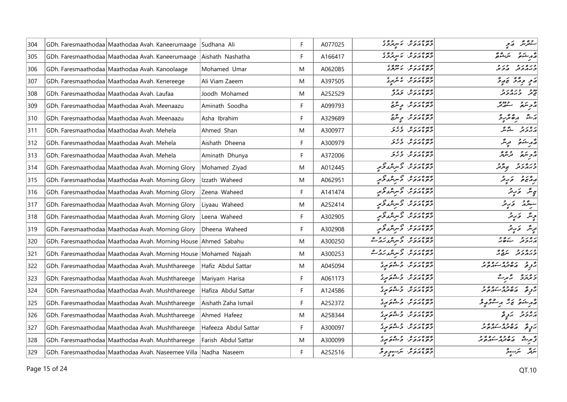| 304 | GDh. Faresmaathodaa   Maathodaa Avah. Kaneerumaage                | Sudhana Ali          | F. | A077025 | وبدور رو. کمپربردی                                                                                         | سنقرمتر الأمو                                   |
|-----|-------------------------------------------------------------------|----------------------|----|---------|------------------------------------------------------------------------------------------------------------|-------------------------------------------------|
| 305 | GDh. Faresmaathodaa   Maathodaa Avah. Kaneerumaage                | Aishath Nashatha     | F  | A166417 | پر در در در در                                                                                             | ىئەر يەشتى<br>پر ديگر ج<br><i>دگ</i> ار مشوحو   |
| 306 | GDh. Faresmaathodaa Maathodaa Avah. Kanoolaage                    | Mohamed Umar         | M  | A062085 | מממנגם גדבמה<br>כתובתפת טייק <i>ב</i> צ                                                                    | כנסני כני                                       |
| 307 | GDh. Faresmaathodaa Maathodaa Avah. Kenereege                     | Ali Viam Zaeem       | M  | A397505 | ويدورره ، ، ، ، ،                                                                                          | ړې ورژو په د                                    |
| 308 | GDh. Faresmaathodaa Maathodaa Avah. Laufaa                        | Joodh Mohamed        | M  | A252529 |                                                                                                            | מכ כנסנב<br>בת כגובת                            |
| 309 | GDh. Faresmaathodaa Maathodaa Avah. Meenaazu                      | Aminath Soodha       | F  | A099793 | ويدورره ويتزنج                                                                                             | ر 32.2 گر<br>مستوجه قر<br>پ <sup>ر</sup> تر سرچ |
| 310 | GDh. Faresmaathodaa Maathodaa Avah. Meenaazu                      | Asha Ibrahim         | F  | A329689 |                                                                                                            | ړَ شَه ره تر د                                  |
| 311 | GDh. Faresmaathodaa Maathodaa Avah. Mehela                        | Ahmed Shan           | M  | A300977 | پر در ده. د در<br>حوړ د ونګ څرنځ                                                                           | رەر <sub>جەش</sub> ر<br>مەردىر ئىش              |
| 312 | GDh. Faresmaathodaa Maathodaa Avah. Mehela                        | Aishath Dheena       | F  | A300979 | پر در ده ده در<br>ده د ده را در د                                                                          | قرىتمر<br>ر<br>در کرد شوی                       |
| 313 | GDh. Faresmaathodaa Maathodaa Avah. Mehela                        | Aminath Dhunya       | F  | A372006 | پر در ده ده در<br>دی ده در                                                                                 | و ه پر<br>ترس<br>پ <sup>ر</sup> تر سرچ          |
| 314 | GDh. Faresmaathodaa Maathodaa Avah. Morning Glory                 | Mohamed Ziyad        | M  | A012445 | ويدورره وسرعه ومر                                                                                          | ور ہ ر د<br>تربر برتر ہے مرتر                   |
| 315 | GDh. Faresmaathodaa Maathodaa Avah. Morning Glory                 | Izzath Waheed        | M  | A062951 | وسوريره حس و عربر<br>1941ء تر و سرس و مړ                                                                   | درو و درو                                       |
| 316 | GDh. Faresmaathodaa Maathodaa Avah. Morning Glory                 | Zeena Waheed         | F  | A141474 | ويدورره ومره وم                                                                                            | ىم ئىگە ھەر قىل                                 |
| 317 | GDh. Faresmaathodaa Maathodaa Avah. Morning Glory                 | Liyaau Waheed        | M  | A252414 |                                                                                                            | سورگر کو پر تر<br>مر                            |
| 318 | GDh. Faresmaathodaa Maathodaa Avah. Morning Glory                 | Leena Waheed         | F  | A302905 | معديدره وسره وير                                                                                           | وٍیڈ وَرِیْر                                    |
| 319 | GDh. Faresmaathodaa Maathodaa Avah. Morning Glory                 | Dheena Waheed        | F  | A302908 |                                                                                                            | <mark>مړنگر کوبرنگر</mark>                      |
| 320 | GDh. Faresmaathodaa Maathodaa Avah. Morning House                 | Ahmed Sabahu         | M  | A300250 | ويدور ره مه مهر در ده                                                                                      | ره رو برود                                      |
| 321 | GDh. Faresmaathodaa Maathodaa Avah. Morning House Mohamed Najaah  |                      | M  | A300253 | ويدورره صميره ردم                                                                                          | ورەرو روە<br><i>دىد</i> ەرىر سرچ                |
| 322 | GDh. Faresmaathodaa Maathodaa Avah. Mushthareege                  | Hafiz Abdul Sattar   | M  | A045094 | پرپردره و در د<br>حوډولوس و شو <sub>گ</sub> وبر                                                            | ر د ده ده ده دو د                               |
| 323 | GDh. Faresmaathodaa Maathodaa Avah. Mushthareege                  | Mariyam Harisa       | F  | A061173 | $\begin{array}{ccc} c & 0 & 0 & 0 & 0 & 0 \\ c & 0 & 0 & 0 & 0 \\ \sqrt{c} & 0 & 0 & 0 & 0 \\ \end{array}$ | ر ه ر ه<br><del>ر</del> بربرگر<br>ر مجمعہ رستے  |
| 324 | GDh. Faresmaathodaa Maathodaa Avah. Mushthareege                  | Hafiza Abdul Sattar  | F  | A124586 | پر دره ورور د                                                                                              | په ده ده ده ده د د                              |
| 325 | GDh. Faresmaathodaa Maathodaa Avah. Mushthareege                  | Aishath Zaha Ismail  | F  | A252372 | پرپردره و در د<br>وی دوس و شویر                                                                            | ۇرمىسى تەر بەر ئور                              |
| 326 | GDh. Faresmaathodaa Maathodaa Avah. Mushthareege                  | Ahmed Hafeez         | M  | A258344 |                                                                                                            | درورو کرده                                      |
| 327 | GDh. Faresmaathodaa Maathodaa Avah. Mushthareege                  | Hafeeza Abdul Sattar | F. | A300097 | پرپردره و ه در پا<br>جنوع من کا مشهوری                                                                     | ر د ه ده ده ده د و د                            |
| 328 | GDh. Faresmaathodaa Maathodaa Avah. Mushthareege                  | Farish Abdul Sattar  | M  | A300099 | پر دره وره دره<br>د وروس و شوړي                                                                            | ره وه ره دو<br>په هنرو سوړه پر<br>ۇىرىش         |
| 329 | GDh. Faresmaathodaa Maathodaa Avah. Naseemee Villa   Nadha Naseem |                      | F  | A252516 | ەيدەررە<br><i>دە</i> ءەرەش شەھرەر                                                                          | ىكە كەسىرى                                      |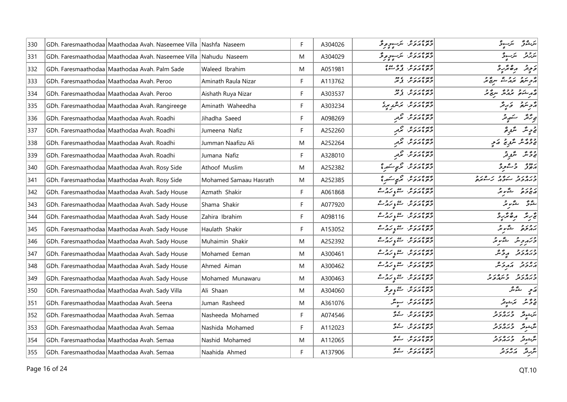| 330 | GDh. Faresmaathodaa Maathodaa Avah. Naseemee Villa Nashfa Naseem |                        | F         | A304026 | پر در ده<br>وه د د در سر-د و و                                                                                                                                                                                                                                                                                                                                                                                                                                                                              | سَرَحْشُوتَرَ<br>ىئرسىدى                            |
|-----|------------------------------------------------------------------|------------------------|-----------|---------|-------------------------------------------------------------------------------------------------------------------------------------------------------------------------------------------------------------------------------------------------------------------------------------------------------------------------------------------------------------------------------------------------------------------------------------------------------------------------------------------------------------|-----------------------------------------------------|
| 331 | GDh. Faresmaathodaa Maathodaa Avah. Naseemee Villa Nahudu Naseem |                        | M         | A304029 | ەيدەررە. سەسىرە بۇ                                                                                                                                                                                                                                                                                                                                                                                                                                                                                          | ر و و<br>سربر تعر                                   |
| 332 | GDh. Faresmaathodaa Maathodaa Avah. Palm Sade                    | Waleed Ibrahim         | M         | A051981 | $\begin{array}{cc} 0.44 & 0.44 & 0.44 & 0.44 & 0.44 & 0.44 & 0.44 & 0.44 & 0.44 & 0.44 & 0.44 & 0.44 & 0.44 & 0.44 & 0.44 & 0.44 & 0.44 & 0.44 & 0.44 & 0.44 & 0.44 & 0.44 & 0.44 & 0.44 & 0.44 & 0.44 & 0.44 & 0.44 & 0.44 & 0.44 & 0.44 & 0.44 & 0.44 & 0.44 & 0.44 & 0.$                                                                                                                                                                                                                                 | برە ئۆرۈ<br>ءَ وِتر                                 |
| 333 | GDh. Faresmaathodaa Maathodaa Avah. Peroo                        | Aminath Raula Nizar    | F         | A113762 | מממננס - מחד<br>בתמוכת - ג'מ                                                                                                                                                                                                                                                                                                                                                                                                                                                                                | ה ביתר בגל ישל                                      |
| 334 | GDh. Faresmaathodaa Maathodaa Avah. Peroo                        | Aishath Ruya Nizar     | F         | A303537 | $\begin{array}{cc} \mathcal{D} & \mathcal{C} & \mathcal{D} & \mathcal{D} & \mathcal{D} & \mathcal{D} & \mathcal{D} & \mathcal{D} & \mathcal{D} & \mathcal{D} & \mathcal{D} & \mathcal{D} & \mathcal{D} & \mathcal{D} & \mathcal{D} & \mathcal{D} & \mathcal{D} & \mathcal{D} & \mathcal{D} & \mathcal{D} & \mathcal{D} & \mathcal{D} & \mathcal{D} & \mathcal{D} & \mathcal{D} & \mathcal{D} & \mathcal{D} & \mathcal{D} & \mathcal{D} & \mathcal{D} & \mathcal$                                            | התשת ברב תה                                         |
| 335 | GDh. Faresmaathodaa Maathodaa Avah. Rangireege                   | Aminath Waheedha       | F         | A303234 | پر در ره دره در                                                                                                                                                                                                                                                                                                                                                                                                                                                                                             | أأدمره أورقه                                        |
| 336 | GDh. Faresmaathodaa Maathodaa Avah. Roadhi                       | Jihadha Saeed          | F         | A098269 | ويدورره محمد                                                                                                                                                                                                                                                                                                                                                                                                                                                                                                | ەر ئەتر سەر ئىر                                     |
| 337 | GDh. Faresmaathodaa Maathodaa Avah. Roadhi                       | Jumeena Nafiz          | F         | A252260 | معدس مع المحمد المحمد المحمد المحمد المحمد المحمد المحمدة المحمد المحمد المحمد المحمد المحمد المحمد المحمد الم                                                                                                                                                                                                                                                                                                                                                                                              | ۇرچىر شرۇ                                           |
| 338 | GDh. Faresmaathodaa Maathodaa Avah. Roadhi                       | Jumman Naafizu Ali     | M         | A252264 | معدس مدره محمد                                                                                                                                                                                                                                                                                                                                                                                                                                                                                              | ووومه مترتج وتمي                                    |
| 339 | GDh. Faresmaathodaa Maathodaa Avah. Roadhi                       | Jumana Nafiz           | F         | A328010 | معدس مدره محمد                                                                                                                                                                                                                                                                                                                                                                                                                                                                                              | ة <i>م</i> ُرَّ مَّرْ مُرَّدِّرٌ                    |
| 340 | GDh. Faresmaathodaa Maathodaa Avah. Rosy Side                    | Athoof Muslim          | M         | A252382 | د برور ده چې کره و                                                                                                                                                                                                                                                                                                                                                                                                                                                                                          | ניחס כם ס                                           |
| 341 | GDh. Faresmaathodaa Maathodaa Avah. Rosy Side                    | Mohamed Samaau Hasrath | M         | A252385 | د بدور رو مهم شده<br>ده د د د د شمېر شور د                                                                                                                                                                                                                                                                                                                                                                                                                                                                  | ورەرو رىۋو رەرو                                     |
| 342 | GDh. Faresmaathodaa Maathodaa Avah. Sady House                   | Azmath Shakir          | F         | A061868 |                                                                                                                                                                                                                                                                                                                                                                                                                                                                                                             | ر در د شمسر<br>پرې ده شمسر                          |
| 343 | GDh. Faresmaathodaa Maathodaa Avah. Sady House                   | Shama Shakir           | F         | A077920 |                                                                                                                                                                                                                                                                                                                                                                                                                                                                                                             | شَرْقُ شَّمَّ يُرْ                                  |
| 344 | GDh. Faresmaathodaa Maathodaa Avah. Sady House                   | Zahira Ibrahim         | F         | A098116 | معدم رے سے پر دے                                                                                                                                                                                                                                                                                                                                                                                                                                                                                            | مەھمەرد<br>پچ په پېڅه<br>پ                          |
| 345 | GDh. Faresmaathodaa Maathodaa Avah. Sady House                   | Haulath Shakir         | F         | A153052 | $\begin{array}{cc} \mathcal{L}_{\mathcal{L}_{\mathcal{L}}} & \mathcal{L}_{\mathcal{L}_{\mathcal{L}}} & \mathcal{L}_{\mathcal{L}_{\mathcal{L}}} & \mathcal{L}_{\mathcal{L}_{\mathcal{L}}} & \mathcal{L}_{\mathcal{L}_{\mathcal{L}}} & \mathcal{L}_{\mathcal{L}_{\mathcal{L}}} & \mathcal{L}_{\mathcal{L}_{\mathcal{L}}} & \mathcal{L}_{\mathcal{L}_{\mathcal{L}}} & \mathcal{L}_{\mathcal{L}_{\mathcal{L}}} & \mathcal{L}_{\mathcal{L}_{\mathcal{L}}} & \mathcal{L}_{\mathcal{L}_{\mathcal{L}}} & \mathcal{$ | برورو بشار                                          |
| 346 | GDh. Faresmaathodaa Maathodaa Avah. Sady House                   | Muhaimin Shakir        | M         | A252392 | وبدورره يه ردم                                                                                                                                                                                                                                                                                                                                                                                                                                                                                              | وزرويتر تقرير                                       |
| 347 | GDh. Faresmaathodaa Maathodaa Avah. Sady House                   | Mohamed Eeman          | M         | A300461 | ويدورره يه دروه                                                                                                                                                                                                                                                                                                                                                                                                                                                                                             | و ر ه ر د<br><i>و بر</i> پر تر<br>ېږونتر            |
| 348 | GDh. Faresmaathodaa Maathodaa Avah. Sady House                   | Ahmed Aiman            | M         | A300462 |                                                                                                                                                                                                                                                                                                                                                                                                                                                                                                             | גפניק הגבית                                         |
| 349 | GDh. Faresmaathodaa Maathodaa Avah. Sady House                   | Mohamed Munawaru       | M         | A300463 | وبدورره عرزوه                                                                                                                                                                                                                                                                                                                                                                                                                                                                                               | و ره ر د<br>ترسمه و بر<br>و ر ه ر و<br>و بر پر و تر |
| 350 | GDh. Faresmaathodaa Maathodaa Avah. Sady Villa                   | Ali Shaan              | M         | A304060 | ەيدەررە س <sub>ە</sub> رۇ                                                                                                                                                                                                                                                                                                                                                                                                                                                                                   | أركم والمحمد                                        |
| 351 | GDh. Faresmaathodaa Maathodaa Avah. Seena                        | Juman Rasheed          | ${\sf M}$ | A361076 | توپر دیره سورتگر<br>ده د در در سورتگر                                                                                                                                                                                                                                                                                                                                                                                                                                                                       | و و د کرېنونز                                       |
| 352 | GDh. Faresmaathodaa Maathodaa Avah. Semaa                        | Nasheeda Mohamed       | F         | A074546 | ەيدەررە مەم                                                                                                                                                                                                                                                                                                                                                                                                                                                                                                 | و ره ر و<br>تر پروتر<br>سكرشوقر                     |
| 353 | GDh. Faresmaathodaa Maathodaa Avah. Semaa                        | Nashida Mohamed        | F         | A112023 | ەيدەررە. ي                                                                                                                                                                                                                                                                                                                                                                                                                                                                                                  | و ره ر و<br>تر پروتر<br>مگرشہ تگر                   |
| 354 | GDh. Faresmaathodaa Maathodaa Avah. Semaa                        | Nashid Mohamed         | M         | A112065 | ەيدەررە مەد                                                                                                                                                                                                                                                                                                                                                                                                                                                                                                 | مگرشونر<br>و رە ر د<br><i>د بر</i> گرىز             |
| 355 | GDh. Faresmaathodaa Maathodaa Avah. Semaa                        | Naahida Ahmed          | F         | A137906 | ەيدەررە. يەر                                                                                                                                                                                                                                                                                                                                                                                                                                                                                                | شرىق بەرەر د                                        |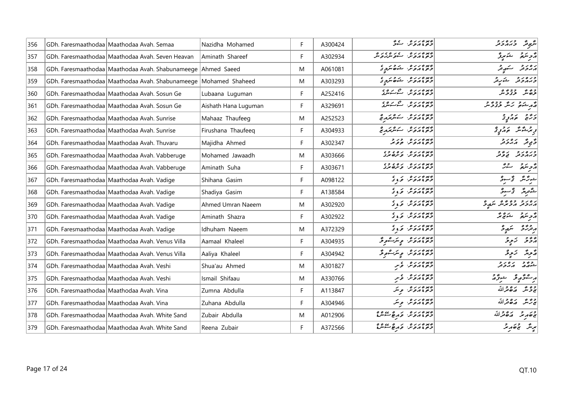| 356 | GDh. Faresmaathodaa Maathodaa Avah. Semaa                        | Nazidha Mohamed      | F           | A300424 | ەيدەررە بەر                                                                   | و رە ر د<br>تر پر تر تر<br>لىتىبوقتر                                                                                                                                                                                             |
|-----|------------------------------------------------------------------|----------------------|-------------|---------|-------------------------------------------------------------------------------|----------------------------------------------------------------------------------------------------------------------------------------------------------------------------------------------------------------------------------|
| 357 | GDh. Faresmaathodaa Maathodaa Avah. Seven Heavan                 | Aminath Shareef      | F           | A302934 | $0 \times 00 \times 0$ $0 \times 10 \times 0$<br><i>وه ۱۵ و س سوه سربره س</i> | ا تر په مندم <del>په</del><br>ے مور                                                                                                                                                                                              |
| 358 | GDh. Faresmaathodaa Maathodaa Avah. Shabunameege Ahmed Saeed     |                      | M           | A061081 | په پر دره در در د                                                             | پروتر کے پرتر                                                                                                                                                                                                                    |
| 359 | GDh. Faresmaathodaa Maathodaa Avah. Shabunameege Mohamed Shaheed |                      | M           | A303293 | ەيدەررە شەھلىرى<br><mark>جەنجەم</mark> وس شەھلىر <i>ى</i>                     | ورەرو شەرىر                                                                                                                                                                                                                      |
| 360 | GDh. Faresmaathodaa Maathodaa Avah. Sosun Ge                     | Lubaana Luguman      | F           | A252416 | ويدورره ورده                                                                  | دەش دېزىر                                                                                                                                                                                                                        |
| 361 | GDh. Faresmaathodaa Maathodaa Avah. Sosun Ge                     | Aishath Hana Luguman | F           | A329691 | معدر ده کرده ،                                                                | ە ئەسىسى ئەرەپ ئەرەپ ئەرەپ ئەرەپ ئەرەپ ئەرەپ ئەرەپ ئەرەپ ئەرەپ ئەرەپ ئەرەپ ئەرەپ ئەرەپ ئەرەپ ئەرەپ ئەرەپ ئەرەپ<br>ئارەت ئارەت ئارەت ئاراق ئۇيغۇر ئاراق ئاراق ئاراق ئاراق ئاراق ئاراق ئاراق ئاراق ئاراق ئاراق ئاراق ئاراق ئاراق ئ |
| 362 | GDh. Faresmaathodaa Maathodaa Avah. Sunrise                      | Mahaaz Thaufeeg      | M           | A252523 | معمدره دره د                                                                  | د ده د د د د                                                                                                                                                                                                                     |
| 363 | GDh. Faresmaathodaa Maathodaa Avah. Sunrise                      | Firushana Thaufeeq   | F           | A304933 | ويدورره دروره                                                                 | و پرېشتر پر د ده په                                                                                                                                                                                                              |
| 364 | GDh. Faresmaathodaa Maathodaa Avah. Thuvaru                      | Majidha Ahmed        | F           | A302347 | پر پر را دار د<br>حرم داروش امومر                                             |                                                                                                                                                                                                                                  |
| 365 | GDh. Faresmaathodaa Maathodaa Avah. Vabberuge                    | Mohamed Jawaadh      | M           | A303666 |                                                                               | ورەر د رود<br><i>دېرم</i> رتر ق                                                                                                                                                                                                  |
| 366 | GDh. Faresmaathodaa Maathodaa Avah. Vabberuge                    | Aminath Suha         | F           | A303671 | <i>و ه</i> د د بر ر موره مرد                                                  | ړې سرچينې د سترگ                                                                                                                                                                                                                 |
| 367 | GDh. Faresmaathodaa Maathodaa Avah. Vadige                       | Shihana Gasim        | F           | A098122 | 532.222                                                                       | ىدىر ئۆسۈ                                                                                                                                                                                                                        |
| 368 | GDh. Faresmaathodaa Maathodaa Avah. Vadige                       | Shadiya Gasim        | F           | A138584 |                                                                               | شَوَتر جنگ سو جي سو جي                                                                                                                                                                                                           |
| 369 | GDh. Faresmaathodaa Maathodaa Avah. Vadige                       | Ahmed Umran Naeem    | M           | A302920 | 532.222                                                                       | גם גד כם כם הגם.<br>גגבת גביניית ייתוב                                                                                                                                                                                           |
| 370 | GDh. Faresmaathodaa Maathodaa Avah. Vadige                       | Aminath Shazra       | F           | A302922 | 532.222                                                                       | ے بچے بگر<br>ړ د سره                                                                                                                                                                                                             |
| 371 | GDh. Faresmaathodaa Maathodaa Avah. Vadige                       | Idhuham Naeem        | M           | A372329 | پر پر را دارد دارد.<br>حرم داروش کردار                                        | م تورژ و<br>م<br>سكەچە                                                                                                                                                                                                           |
| 372 | GDh. Faresmaathodaa Maathodaa Avah. Venus Villa                  | Aamaal Khaleel       | F           | A304935 | معدودره و مرسور مح                                                            | أرْدَّدْ زَرِدْ                                                                                                                                                                                                                  |
| 373 | GDh. Faresmaathodaa Maathodaa Avah. Venus Villa                  | Aaliya Khaleel       | F           | A304942 | وبروبر و پرکوړ ځ                                                              | ړ پر زېږد                                                                                                                                                                                                                        |
| 374 | GDh. Faresmaathodaa Maathodaa Avah. Veshi                        | Shua'au Ahmed        | M           | A301827 | ەيدەررە ، ئ                                                                   | شوحو ره رو                                                                                                                                                                                                                       |
| 375 | GDh. Faresmaathodaa Maathodaa Avah. Veshi                        | Ismail Shifaau       | M           | A330766 | پر پر ره ه ه ر<br>  ده د اروس کوس                                             | پرسرگر پر گردید میں پر پر                                                                                                                                                                                                        |
| 376 | GDh. Faresmaathodaa Maathodaa Avah. Vina                         | Zumna Abdulla        | $\mathsf F$ | A113847 | معدس و عرض المحمد                                                             | يحويثر برق قرالله                                                                                                                                                                                                                |
| 377 | GDh. Faresmaathodaa Maathodaa Avah. Vina                         | Zuhana Abdulla       | F           | A304946 | ويدورره وتكر                                                                  | يرمشر مكافح والله                                                                                                                                                                                                                |
| 378 | GDh. Faresmaathodaa Maathodaa Avah. White Sand                   | Zubair Abdulla       | M           | A012906 |                                                                               | مَەھىراللە<br>ور مر<br>مح خور مر                                                                                                                                                                                                 |
| 379 | GDh. Faresmaathodaa Maathodaa Avah. White Sand                   | Reena Zubair         | F           | A372566 |                                                                               | $\begin{vmatrix} 2 & 2 & 3 \\ 2 & 2 & 3 \\ 3 & 4 & 5 \end{vmatrix}$                                                                                                                                                              |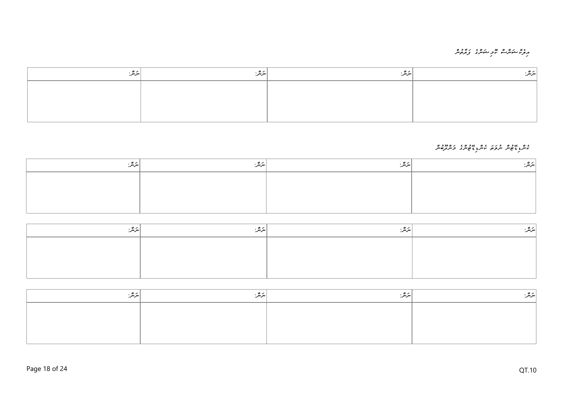## *w7qAn8m?sCw7mRo>u;wEw7mRw;sBo<*

| ' مرمر | 'يئرىثر: |
|--------|----------|
|        |          |
|        |          |
|        |          |

## *w7q9r@w7m>sCw7qHtFoFw7s;mAm=q7w7qHtFoFw7s;*

| ىر تە | $\mathcal{O} \times$<br>$\sim$ | $\sim$<br>. . | لترنثر |
|-------|--------------------------------|---------------|--------|
|       |                                |               |        |
|       |                                |               |        |
|       |                                |               |        |

| $\frac{2}{n}$ | $\overline{\phantom{a}}$ | اير هنه. | $\mathcal{O} \times$<br>سرسر |
|---------------|--------------------------|----------|------------------------------|
|               |                          |          |                              |
|               |                          |          |                              |
|               |                          |          |                              |

| ' ئىرتىر: | سر سر |  |
|-----------|-------|--|
|           |       |  |
|           |       |  |
|           |       |  |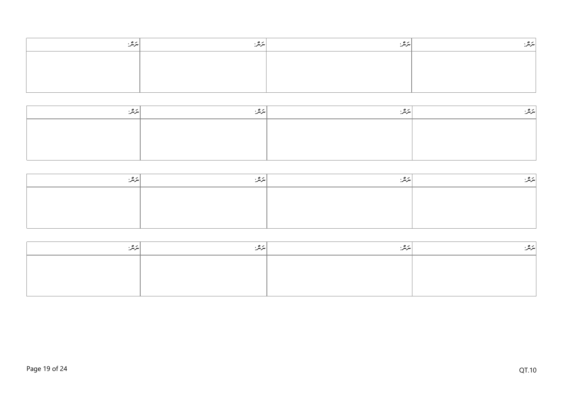| يزهر | $^{\circ}$ | ىئرىتر: |  |
|------|------------|---------|--|
|      |            |         |  |
|      |            |         |  |
|      |            |         |  |

| <sup>.</sup> سرسر. |  |
|--------------------|--|
|                    |  |
|                    |  |
|                    |  |

| ىئرىتر. | $\sim$ | ا بر هه. | لىرىش |
|---------|--------|----------|-------|
|         |        |          |       |
|         |        |          |       |
|         |        |          |       |

| يترمثر | $^{\circ}$ | ىر پىر |
|--------|------------|--------|
|        |            |        |
|        |            |        |
|        |            |        |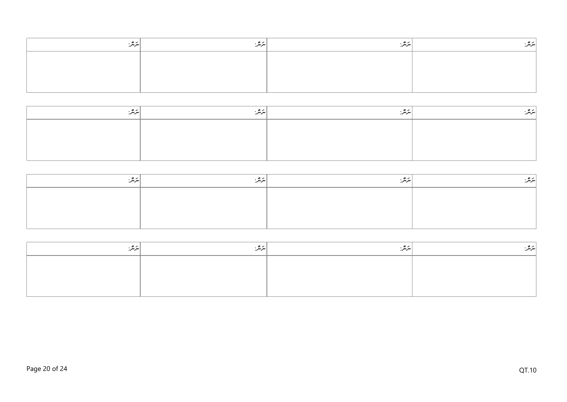| ير هو . | $\overline{\phantom{a}}$ | يرمر | اير هنه. |
|---------|--------------------------|------|----------|
|         |                          |      |          |
|         |                          |      |          |
|         |                          |      |          |

| ئىرتىر: | $\sim$<br>ا سرسر . | يئرمثر | o . |
|---------|--------------------|--------|-----|
|         |                    |        |     |
|         |                    |        |     |
|         |                    |        |     |

| انترنثر: | ر ه |  |
|----------|-----|--|
|          |     |  |
|          |     |  |
|          |     |  |

|  | . ه |
|--|-----|
|  |     |
|  |     |
|  |     |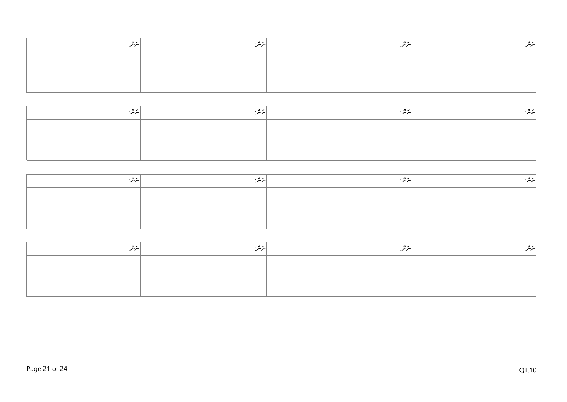| ير هو . | $\overline{\phantom{a}}$ | يرمر | اير هنه. |
|---------|--------------------------|------|----------|
|         |                          |      |          |
|         |                          |      |          |
|         |                          |      |          |

| ىئرىتى: | الترنثين | ا بر هر: | o <i>~</i><br>َ سرسر |
|---------|----------|----------|----------------------|
|         |          |          |                      |
|         |          |          |                      |
|         |          |          |                      |

| 'تترنثر: | . .<br>يسمونس. |  |
|----------|----------------|--|
|          |                |  |
|          |                |  |
|          |                |  |

| 。 |  |  |
|---|--|--|
|   |  |  |
|   |  |  |
|   |  |  |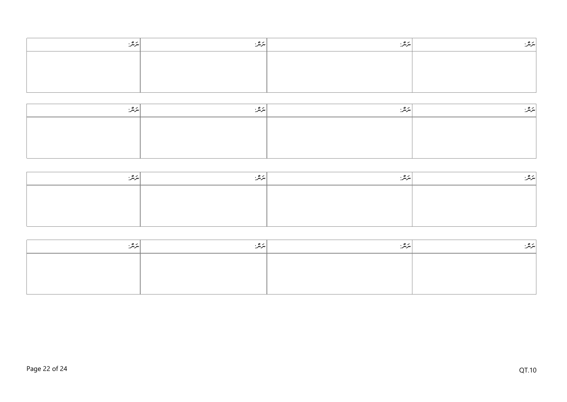| $\cdot$ | 。 | $\frac{\circ}{\cdot}$ | $\sim$<br>سرسر |
|---------|---|-----------------------|----------------|
|         |   |                       |                |
|         |   |                       |                |
|         |   |                       |                |

| ايرعر: | ر ه<br>. . |  |
|--------|------------|--|
|        |            |  |
|        |            |  |
|        |            |  |

| بر ه | . ه | $\sim$<br>سرسر |  |
|------|-----|----------------|--|
|      |     |                |  |
|      |     |                |  |
|      |     |                |  |

| 。<br>. س | ىرىىر |  |
|----------|-------|--|
|          |       |  |
|          |       |  |
|          |       |  |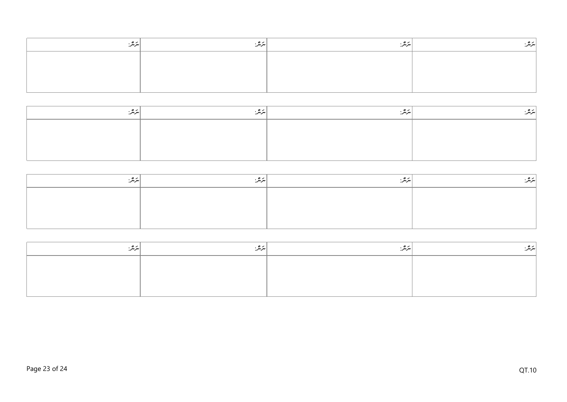| ير هو . | $\overline{\phantom{a}}$ | يرمر | اير هنه. |
|---------|--------------------------|------|----------|
|         |                          |      |          |
|         |                          |      |          |
|         |                          |      |          |

| ئىرتىر: | $\sim$<br>ا سرسر . | يئرمثر | o . |
|---------|--------------------|--------|-----|
|         |                    |        |     |
|         |                    |        |     |
|         |                    |        |     |

| انترنثر: | ر ه |  |
|----------|-----|--|
|          |     |  |
|          |     |  |
|          |     |  |

|  | . ه |
|--|-----|
|  |     |
|  |     |
|  |     |